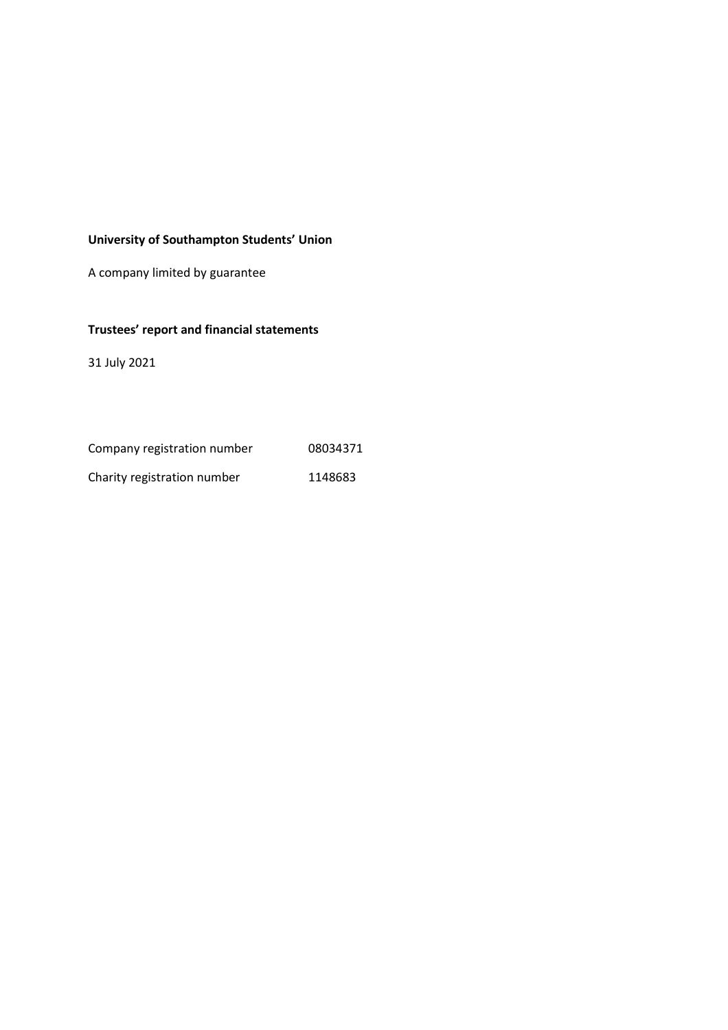## **University of Southampton Students' Union**

A company limited by guarantee

## **Trustees' report and financial statements**

31 July 2021

| Company registration number | 08034371 |
|-----------------------------|----------|
| Charity registration number | 1148683  |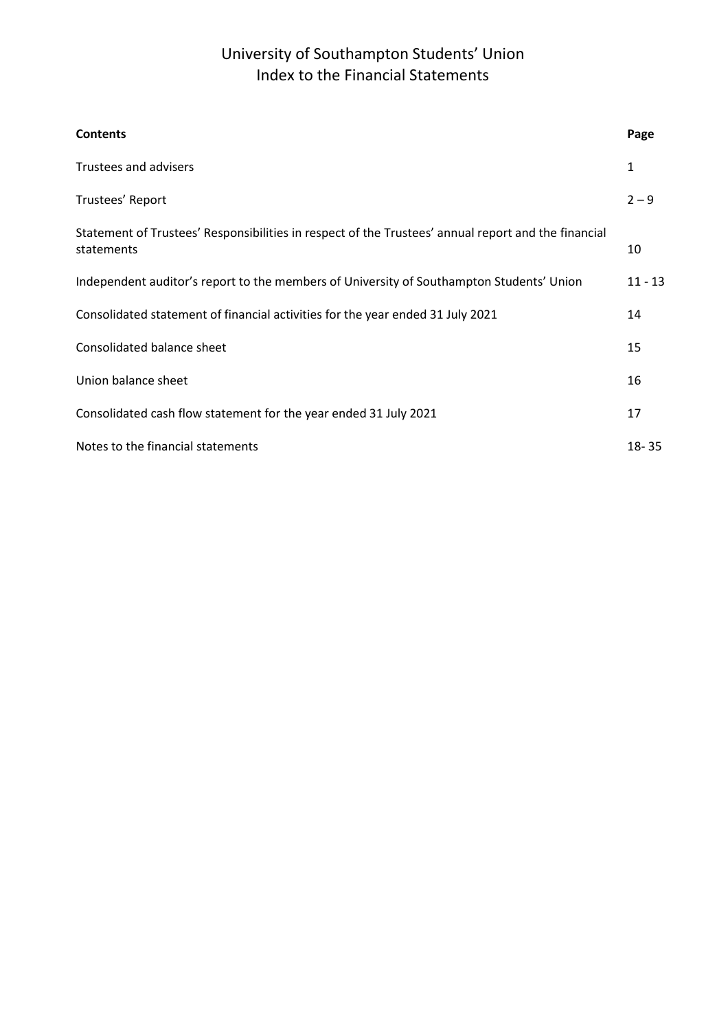# University of Southampton Students' Union Index to the Financial Statements

| <b>Contents</b>                                                                                                   | Page      |
|-------------------------------------------------------------------------------------------------------------------|-----------|
| Trustees and advisers                                                                                             | 1         |
| Trustees' Report                                                                                                  | $2 - 9$   |
| Statement of Trustees' Responsibilities in respect of the Trustees' annual report and the financial<br>statements | 10        |
| Independent auditor's report to the members of University of Southampton Students' Union                          | $11 - 13$ |
| Consolidated statement of financial activities for the year ended 31 July 2021                                    | 14        |
| Consolidated balance sheet                                                                                        | 15        |
| Union balance sheet                                                                                               | 16        |
| Consolidated cash flow statement for the year ended 31 July 2021                                                  | 17        |
| Notes to the financial statements                                                                                 | $18 - 35$ |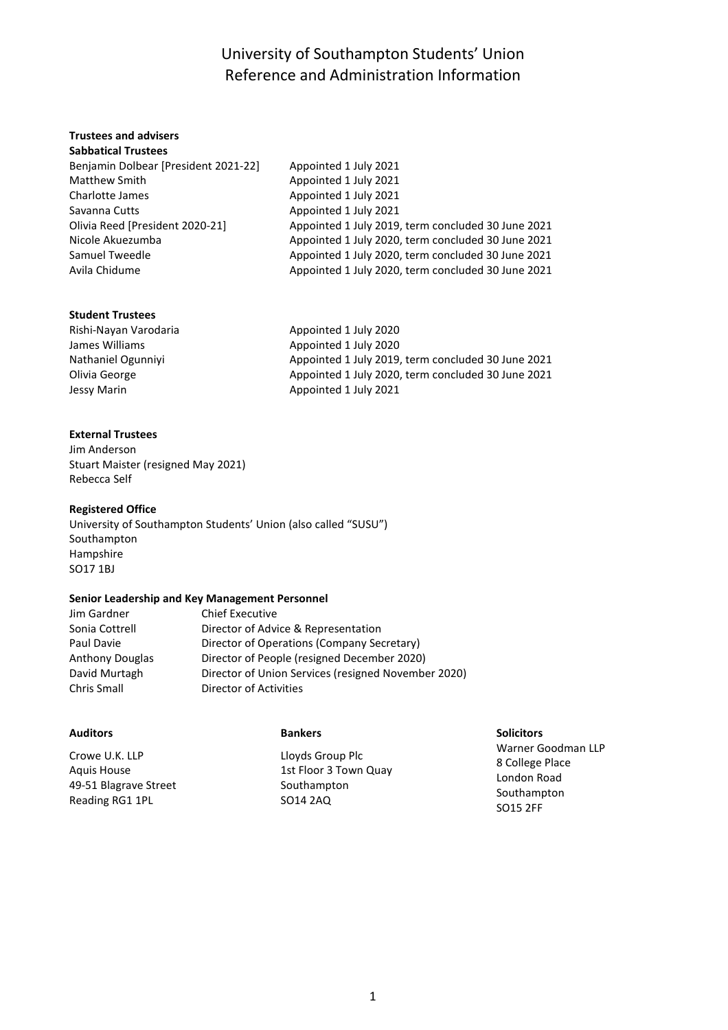# University of Southampton Students' Union Reference and Administration Information

#### **Trustees and advisers Sabbatical Trustees**

| JUNNULILUI IIUJLLLJ                  |                                                    |
|--------------------------------------|----------------------------------------------------|
| Benjamin Dolbear [President 2021-22] | Appointed 1 July 2021                              |
| <b>Matthew Smith</b>                 | Appointed 1 July 2021                              |
| Charlotte James                      | Appointed 1 July 2021                              |
| Savanna Cutts                        | Appointed 1 July 2021                              |
| Olivia Reed [President 2020-21]      | Appointed 1 July 2019, term concluded 30 June 2021 |
| Nicole Akuezumba                     | Appointed 1 July 2020, term concluded 30 June 2021 |
| Samuel Tweedle                       | Appointed 1 July 2020, term concluded 30 June 2021 |
| Avila Chidume                        | Appointed 1 July 2020, term concluded 30 June 2021 |
|                                      |                                                    |

### **Student Trustees**

Rishi-Nayan Varodaria **Alexander Appointed 1 July 2020** James Williams **Appointed 1 July 2020** Nathaniel Ogunniyi Appointed 1 July 2019, term concluded 30 June 2021 Olivia George **Appointed 1 July 2020**, term concluded 30 June 2021 Jessy Marin **Appointed 1 July 2021** 

## **External Trustees**

Jim Anderson Stuart Maister (resigned May 2021) Rebecca Self

## **Registered Office**

University of Southampton Students' Union (also called "SUSU") Southampton Hampshire SO17 1BJ

### **Senior Leadership and Key Management Personnel**

| Jim Gardner            | <b>Chief Executive</b>                              |
|------------------------|-----------------------------------------------------|
| Sonia Cottrell         | Director of Advice & Representation                 |
| Paul Davie             | Director of Operations (Company Secretary)          |
| <b>Anthony Douglas</b> | Director of People (resigned December 2020)         |
| David Murtagh          | Director of Union Services (resigned November 2020) |
| Chris Small            | Director of Activities                              |

## **Auditors**

Crowe U.K. LLP Aquis House 49-51 Blagrave Street Reading RG1 1PL

### **Bankers**

Lloyds Group Plc 1st Floor 3 Town Quay Southampton SO14 2AQ

### **Solicitors**

Warner Goodman LLP 8 College Place London Road Southampton SO15 2FF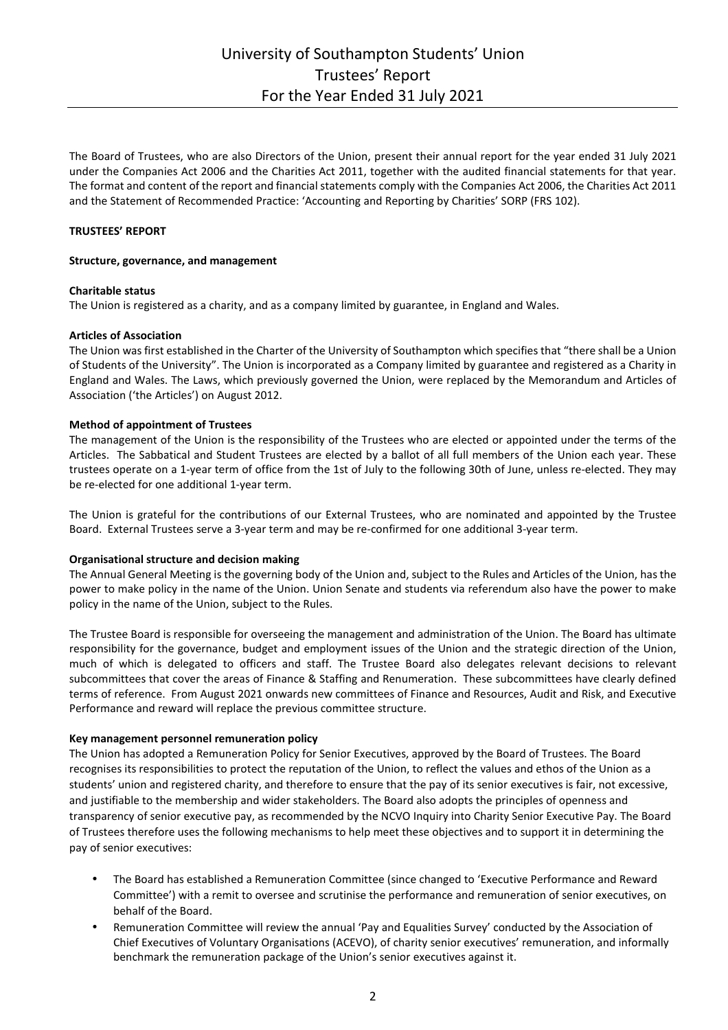The Board of Trustees, who are also Directors of the Union, present their annual report for the year ended 31 July 2021 under the Companies Act 2006 and the Charities Act 2011, together with the audited financial statements for that year. The format and content of the report and financial statements comply with the Companies Act 2006, the Charities Act 2011 and the Statement of Recommended Practice: 'Accounting and Reporting by Charities' SORP (FRS 102).

### **TRUSTEES' REPORT**

### **Structure, governance, and management**

### **Charitable status**

The Union is registered as a charity, and as a company limited by guarantee, in England and Wales.

### **Articles of Association**

The Union was first established in the Charter of the University of Southampton which specifies that "there shall be a Union of Students of the University". The Union is incorporated as a Company limited by guarantee and registered as a Charity in England and Wales. The Laws, which previously governed the Union, were replaced by the Memorandum and Articles of Association ('the Articles') on August 2012.

### **Method of appointment of Trustees**

The management of the Union is the responsibility of the Trustees who are elected or appointed under the terms of the Articles. The Sabbatical and Student Trustees are elected by a ballot of all full members of the Union each year. These trustees operate on a 1-year term of office from the 1st of July to the following 30th of June, unless re-elected. They may be re-elected for one additional 1-year term.

The Union is grateful for the contributions of our External Trustees, who are nominated and appointed by the Trustee Board. External Trustees serve a 3-year term and may be re-confirmed for one additional 3-year term.

#### **Organisational structure and decision making**

The Annual General Meeting is the governing body of the Union and, subject to the Rules and Articles of the Union, has the power to make policy in the name of the Union. Union Senate and students via referendum also have the power to make policy in the name of the Union, subject to the Rules.

The Trustee Board is responsible for overseeing the management and administration of the Union. The Board has ultimate responsibility for the governance, budget and employment issues of the Union and the strategic direction of the Union, much of which is delegated to officers and staff. The Trustee Board also delegates relevant decisions to relevant subcommittees that cover the areas of Finance & Staffing and Renumeration. These subcommittees have clearly defined terms of reference. From August 2021 onwards new committees of Finance and Resources, Audit and Risk, and Executive Performance and reward will replace the previous committee structure.

#### **Key management personnel remuneration policy**

The Union has adopted a Remuneration Policy for Senior Executives, approved by the Board of Trustees. The Board recognises its responsibilities to protect the reputation of the Union, to reflect the values and ethos of the Union as a students' union and registered charity, and therefore to ensure that the pay of its senior executives is fair, not excessive, and justifiable to the membership and wider stakeholders. The Board also adopts the principles of openness and transparency of senior executive pay, as recommended by the NCVO Inquiry into Charity Senior Executive Pay. The Board of Trustees therefore uses the following mechanisms to help meet these objectives and to support it in determining the pay of senior executives:

- The Board has established a Remuneration Committee (since changed to 'Executive Performance and Reward Committee') with a remit to oversee and scrutinise the performance and remuneration of senior executives, on behalf of the Board.
- Remuneration Committee will review the annual 'Pay and Equalities Survey' conducted by the Association of Chief Executives of Voluntary Organisations (ACEVO), of charity senior executives' remuneration, and informally benchmark the remuneration package of the Union's senior executives against it.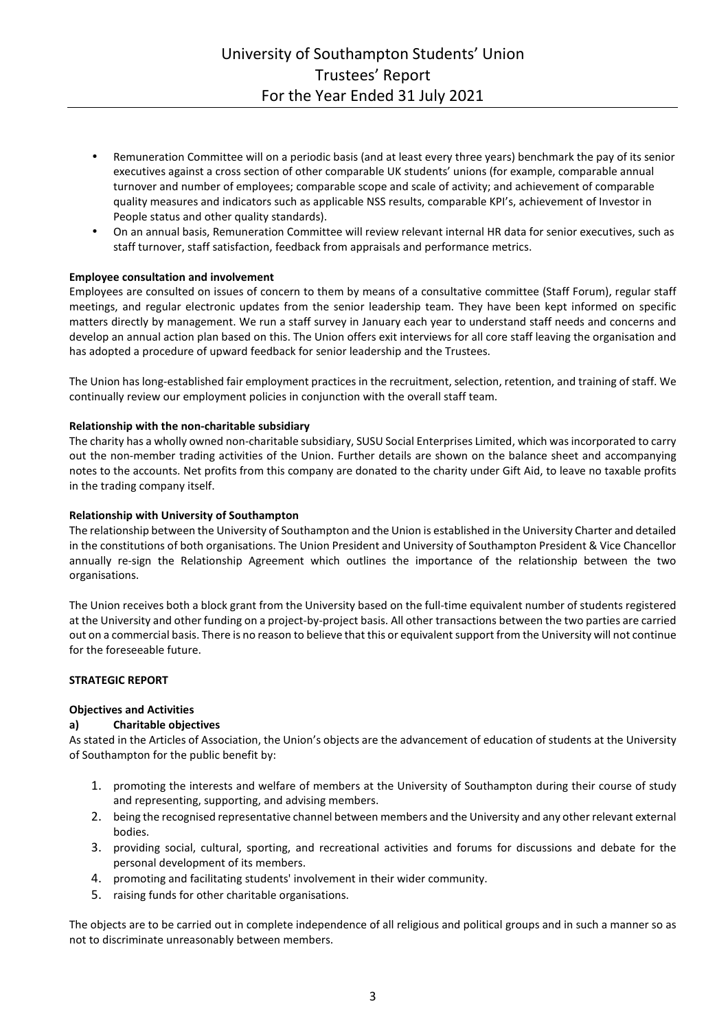- Remuneration Committee will on a periodic basis (and at least every three years) benchmark the pay of its senior executives against a cross section of other comparable UK students' unions (for example, comparable annual turnover and number of employees; comparable scope and scale of activity; and achievement of comparable quality measures and indicators such as applicable NSS results, comparable KPI's, achievement of Investor in People status and other quality standards).
- On an annual basis, Remuneration Committee will review relevant internal HR data for senior executives, such as staff turnover, staff satisfaction, feedback from appraisals and performance metrics.

## **Employee consultation and involvement**

Employees are consulted on issues of concern to them by means of a consultative committee (Staff Forum), regular staff meetings, and regular electronic updates from the senior leadership team. They have been kept informed on specific matters directly by management. We run a staff survey in January each year to understand staff needs and concerns and develop an annual action plan based on this. The Union offers exit interviews for all core staff leaving the organisation and has adopted a procedure of upward feedback for senior leadership and the Trustees.

The Union has long-established fair employment practices in the recruitment, selection, retention, and training of staff. We continually review our employment policies in conjunction with the overall staff team.

### **Relationship with the non-charitable subsidiary**

The charity has a wholly owned non-charitable subsidiary, SUSU Social Enterprises Limited, which was incorporated to carry out the non-member trading activities of the Union. Further details are shown on the balance sheet and accompanying notes to the accounts. Net profits from this company are donated to the charity under Gift Aid, to leave no taxable profits in the trading company itself.

### **Relationship with University of Southampton**

The relationship between the University of Southampton and the Union is established in the University Charter and detailed in the constitutions of both organisations. The Union President and University of Southampton President & Vice Chancellor annually re-sign the Relationship Agreement which outlines the importance of the relationship between the two organisations.

The Union receives both a block grant from the University based on the full-time equivalent number of students registered at the University and other funding on a project-by-project basis. All other transactions between the two parties are carried out on a commercial basis. There is no reason to believe that this or equivalent support from the University will not continue for the foreseeable future.

### **STRATEGIC REPORT**

### **Objectives and Activities**

### **a) Charitable objectives**

As stated in the Articles of Association, the Union's objects are the advancement of education of students at the University of Southampton for the public benefit by:

- 1. promoting the interests and welfare of members at the University of Southampton during their course of study and representing, supporting, and advising members.
- 2. being the recognised representative channel between members and the University and any other relevant external bodies.
- 3. providing social, cultural, sporting, and recreational activities and forums for discussions and debate for the personal development of its members.
- 4. promoting and facilitating students' involvement in their wider community.
- 5. raising funds for other charitable organisations.

The objects are to be carried out in complete independence of all religious and political groups and in such a manner so as not to discriminate unreasonably between members.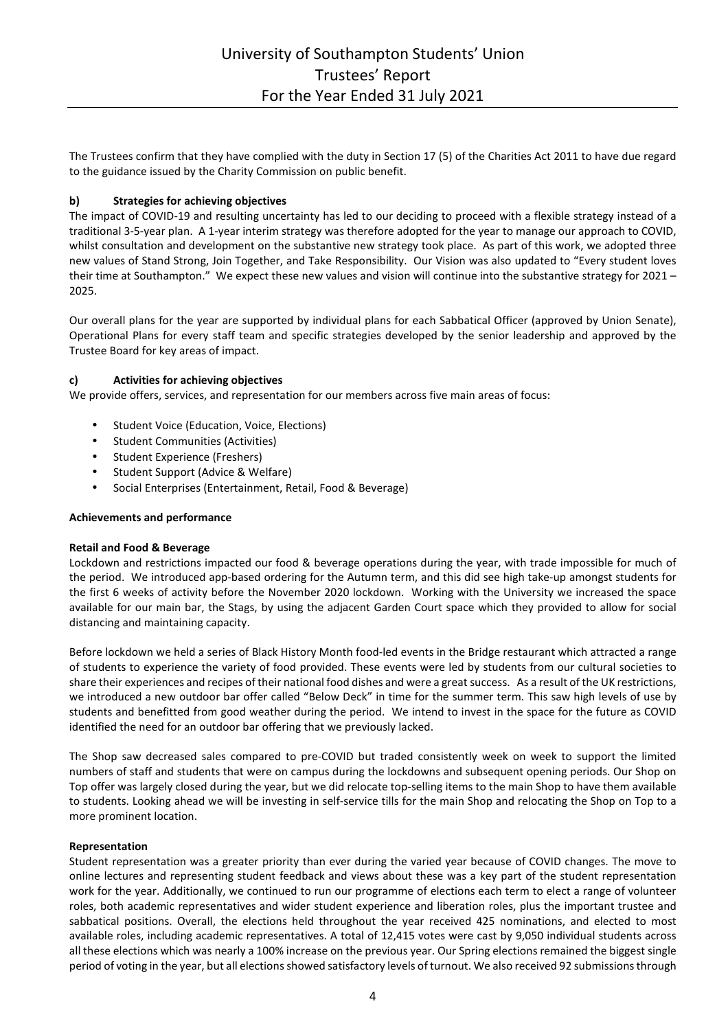The Trustees confirm that they have complied with the duty in Section 17 (5) of the Charities Act 2011 to have due regard to the guidance issued by the Charity Commission on public benefit.

## **b) Strategies for achieving objectives**

The impact of COVID-19 and resulting uncertainty has led to our deciding to proceed with a flexible strategy instead of a traditional 3-5-year plan. A 1-year interim strategy was therefore adopted for the year to manage our approach to COVID, whilst consultation and development on the substantive new strategy took place. As part of this work, we adopted three new values of Stand Strong, Join Together, and Take Responsibility. Our Vision was also updated to "Every student loves their time at Southampton." We expect these new values and vision will continue into the substantive strategy for 2021 – 2025.

Our overall plans for the year are supported by individual plans for each Sabbatical Officer (approved by Union Senate), Operational Plans for every staff team and specific strategies developed by the senior leadership and approved by the Trustee Board for key areas of impact.

## **c) Activities for achieving objectives**

We provide offers, services, and representation for our members across five main areas of focus:

- Student Voice (Education, Voice, Elections)
- Student Communities (Activities)
- Student Experience (Freshers)
- Student Support (Advice & Welfare)
- Social Enterprises (Entertainment, Retail, Food & Beverage)

### **Achievements and performance**

### **Retail and Food & Beverage**

Lockdown and restrictions impacted our food & beverage operations during the year, with trade impossible for much of the period. We introduced app-based ordering for the Autumn term, and this did see high take-up amongst students for the first 6 weeks of activity before the November 2020 lockdown. Working with the University we increased the space available for our main bar, the Stags, by using the adjacent Garden Court space which they provided to allow for social distancing and maintaining capacity.

Before lockdown we held a series of Black History Month food-led events in the Bridge restaurant which attracted a range of students to experience the variety of food provided. These events were led by students from our cultural societies to share their experiences and recipes of their national food dishes and were a great success. As a result of the UK restrictions, we introduced a new outdoor bar offer called "Below Deck" in time for the summer term. This saw high levels of use by students and benefitted from good weather during the period. We intend to invest in the space for the future as COVID identified the need for an outdoor bar offering that we previously lacked.

The Shop saw decreased sales compared to pre-COVID but traded consistently week on week to support the limited numbers of staff and students that were on campus during the lockdowns and subsequent opening periods. Our Shop on Top offer was largely closed during the year, but we did relocate top-selling items to the main Shop to have them available to students. Looking ahead we will be investing in self-service tills for the main Shop and relocating the Shop on Top to a more prominent location.

### **Representation**

Student representation was a greater priority than ever during the varied year because of COVID changes. The move to online lectures and representing student feedback and views about these was a key part of the student representation work for the year. Additionally, we continued to run our programme of elections each term to elect a range of volunteer roles, both academic representatives and wider student experience and liberation roles, plus the important trustee and sabbatical positions. Overall, the elections held throughout the year received 425 nominations, and elected to most available roles, including academic representatives. A total of 12,415 votes were cast by 9,050 individual students across all these elections which was nearly a 100% increase on the previous year. Our Spring elections remained the biggest single period of voting in the year, but all elections showed satisfactory levels of turnout. We also received 92 submissions through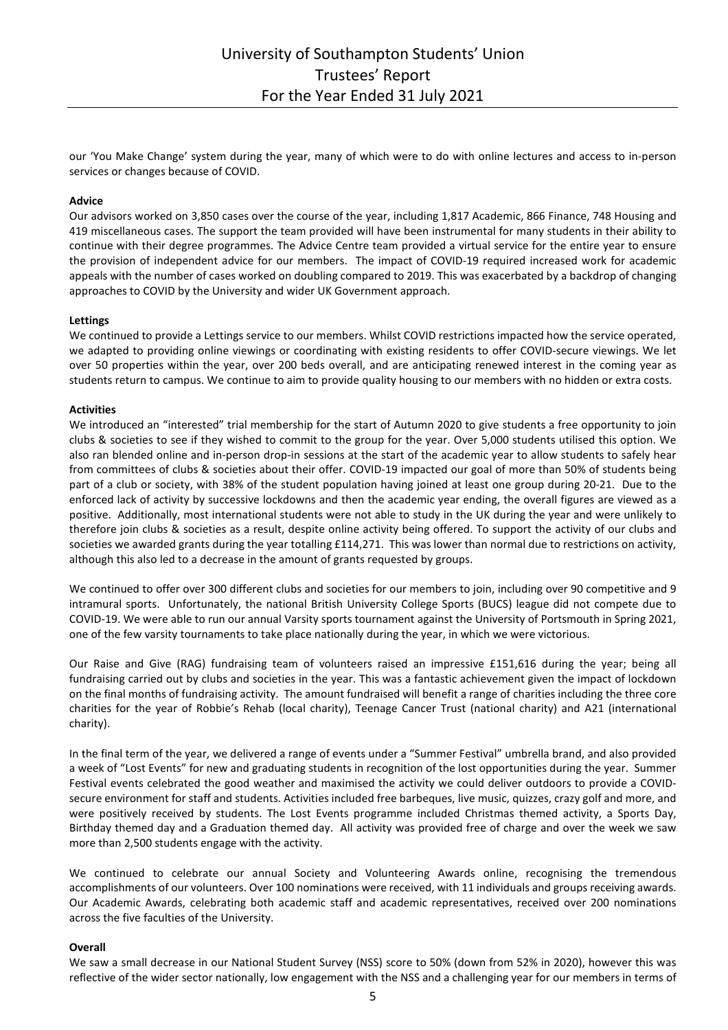our 'You Make Change' system during the year, many of which were to do with online lectures and access to in-person services or changes because of COVID.

### **Advice**

Our advisors worked on 3,850 cases over the course of the year, including 1,817 Academic, 866 Finance, 748 Housing and 419 miscellaneous cases. The support the team provided will have been instrumental for many students in their ability to continue with their degree programmes. The Advice Centre team provided a virtual service for the entire year to ensure the provision of independent advice for our members. The impact of COVID-19 required increased work for academic appeals with the number of cases worked on doubling compared to 2019. This was exacerbated by a backdrop of changing approaches to COVID by the University and wider UK Government approach.

#### **Lettings**

We continued to provide a Lettings service to our members. Whilst COVID restrictions impacted how the service operated, we adapted to providing online viewings or coordinating with existing residents to offer COVID-secure viewings. We let over 50 properties within the year, over 200 beds overall, and are anticipating renewed interest in the coming year as students return to campus. We continue to aim to provide quality housing to our members with no hidden or extra costs.

#### **Activities**

We introduced an "interested" trial membership for the start of Autumn 2020 to give students a free opportunity to join clubs & societies to see if they wished to commit to the group for the year. Over 5,000 students utilised this option. We also ran blended online and in-person drop-in sessions at the start of the academic year to allow students to safely hear from committees of clubs & societies about their offer. COVID-19 impacted our goal of more than 50% of students being part of a club or society, with 38% of the student population having joined at least one group during 20-21. Due to the enforced lack of activity by successive lockdowns and then the academic year ending, the overall figures are viewed as a positive. Additionally, most international students were not able to study in the UK during the year and were unlikely to therefore join clubs & societies as a result, despite online activity being offered. To support the activity of our clubs and societies we awarded grants during the year totalling £114,271. This was lower than normal due to restrictions on activity, although this also led to a decrease in the amount of grants requested by groups.

We continued to offer over 300 different clubs and societies for our members to join, including over 90 competitive and 9 intramural sports. Unfortunately, the national British University College Sports (BUCS) league did not compete due to COVID-19. We were able to run our annual Varsity sports tournament against the University of Portsmouth in Spring 2021, one of the few varsity tournaments to take place nationally during the year, in which we were victorious.

Our Raise and Give (RAG) fundraising team of volunteers raised an impressive £151,616 during the year; being all fundraising carried out by clubs and societies in the year. This was a fantastic achievement given the impact of lockdown on the final months of fundraising activity. The amount fundraised will benefit a range of charities including the three core charities for the year of Robbie's Rehab (local charity), Teenage Cancer Trust (national charity) and A21 (international charity).

In the final term of the year, we delivered a range of events under a "Summer Festival" umbrella brand, and also provided a week of "Lost Events" for new and graduating students in recognition of the lost opportunities during the year. Summer Festival events celebrated the good weather and maximised the activity we could deliver outdoors to provide a COVIDsecure environment for staff and students. Activities included free barbeques, live music, quizzes, crazy golf and more, and were positively received by students. The Lost Events programme included Christmas themed activity, a Sports Day, Birthday themed day and a Graduation themed day. All activity was provided free of charge and over the week we saw more than 2,500 students engage with the activity.

We continued to celebrate our annual Society and Volunteering Awards online, recognising the tremendous accomplishments of our volunteers. Over 100 nominations were received, with 11 individuals and groups receiving awards. Our Academic Awards, celebrating both academic staff and academic representatives, received over 200 nominations across the five faculties of the University.

#### **Overall**

We saw a small decrease in our National Student Survey (NSS) score to 50% (down from 52% in 2020), however this was reflective of the wider sector nationally, low engagement with the NSS and a challenging year for our members in terms of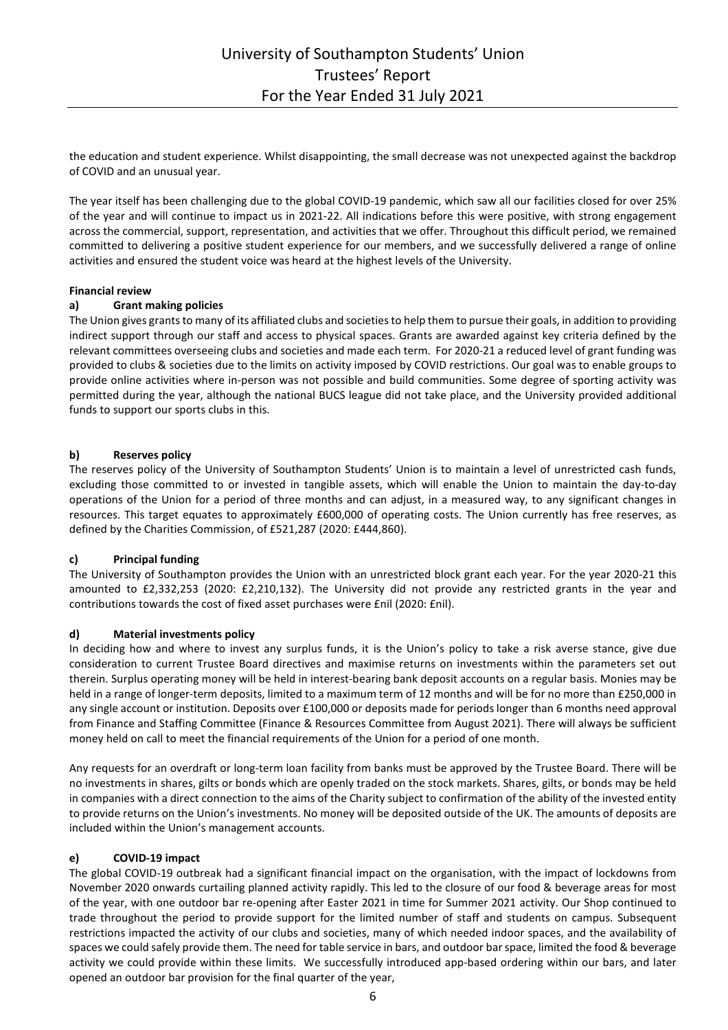the education and student experience. Whilst disappointing, the small decrease was not unexpected against the backdrop of COVID and an unusual year.

The year itself has been challenging due to the global COVID-19 pandemic, which saw all our facilities closed for over 25% of the year and will continue to impact us in 2021-22. All indications before this were positive, with strong engagement across the commercial, support, representation, and activities that we offer. Throughout this difficult period, we remained committed to delivering a positive student experience for our members, and we successfully delivered a range of online activities and ensured the student voice was heard at the highest levels of the University.

### **Financial review**

### **a) Grant making policies**

The Union gives grants to many of its affiliated clubs and societies to help them to pursue their goals, in addition to providing indirect support through our staff and access to physical spaces. Grants are awarded against key criteria defined by the relevant committees overseeing clubs and societies and made each term. For 2020-21 a reduced level of grant funding was provided to clubs & societies due to the limits on activity imposed by COVID restrictions. Our goal was to enable groups to provide online activities where in-person was not possible and build communities. Some degree of sporting activity was permitted during the year, although the national BUCS league did not take place, and the University provided additional funds to support our sports clubs in this.

### **b) Reserves policy**

The reserves policy of the University of Southampton Students' Union is to maintain a level of unrestricted cash funds, excluding those committed to or invested in tangible assets, which will enable the Union to maintain the day-to-day operations of the Union for a period of three months and can adjust, in a measured way, to any significant changes in resources. This target equates to approximately £600,000 of operating costs. The Union currently has free reserves, as defined by the Charities Commission, of £521,287 (2020: £444,860).

### **c) Principal funding**

The University of Southampton provides the Union with an unrestricted block grant each year. For the year 2020-21 this amounted to £2,332,253 (2020: £2,210,132). The University did not provide any restricted grants in the year and contributions towards the cost of fixed asset purchases were £nil (2020: £nil).

### **d) Material investments policy**

In deciding how and where to invest any surplus funds, it is the Union's policy to take a risk averse stance, give due consideration to current Trustee Board directives and maximise returns on investments within the parameters set out therein. Surplus operating money will be held in interest-bearing bank deposit accounts on a regular basis. Monies may be held in a range of longer-term deposits, limited to a maximum term of 12 months and will be for no more than £250,000 in any single account or institution. Deposits over £100,000 or deposits made for periods longer than 6 months need approval from Finance and Staffing Committee (Finance & Resources Committee from August 2021). There will always be sufficient money held on call to meet the financial requirements of the Union for a period of one month.

Any requests for an overdraft or long-term loan facility from banks must be approved by the Trustee Board. There will be no investments in shares, gilts or bonds which are openly traded on the stock markets. Shares, gilts, or bonds may be held in companies with a direct connection to the aims of the Charity subject to confirmation of the ability of the invested entity to provide returns on the Union's investments. No money will be deposited outside of the UK. The amounts of deposits are included within the Union's management accounts.

### **e) COVID-19 impact**

The global COVID-19 outbreak had a significant financial impact on the organisation, with the impact of lockdowns from November 2020 onwards curtailing planned activity rapidly. This led to the closure of our food & beverage areas for most of the year, with one outdoor bar re-opening after Easter 2021 in time for Summer 2021 activity. Our Shop continued to trade throughout the period to provide support for the limited number of staff and students on campus. Subsequent restrictions impacted the activity of our clubs and societies, many of which needed indoor spaces, and the availability of spaces we could safely provide them. The need for table service in bars, and outdoor bar space, limited the food & beverage activity we could provide within these limits. We successfully introduced app-based ordering within our bars, and later opened an outdoor bar provision for the final quarter of the year,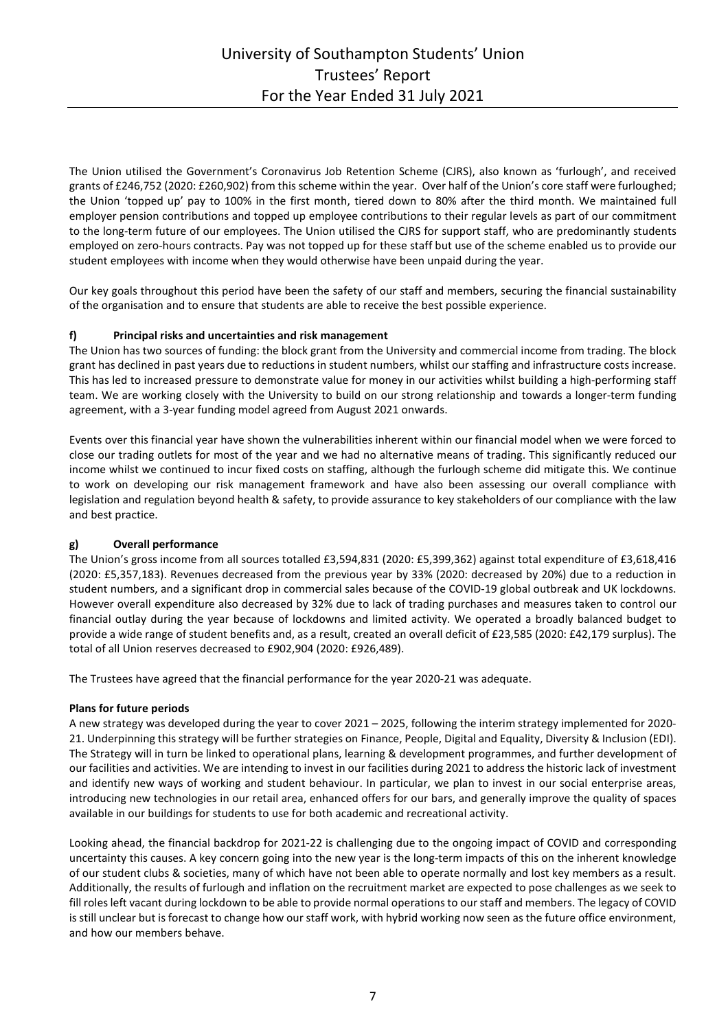The Union utilised the Government's Coronavirus Job Retention Scheme (CJRS), also known as 'furlough', and received grants of £246,752 (2020: £260,902) from this scheme within the year. Over half of the Union's core staff were furloughed; the Union 'topped up' pay to 100% in the first month, tiered down to 80% after the third month. We maintained full employer pension contributions and topped up employee contributions to their regular levels as part of our commitment to the long-term future of our employees. The Union utilised the CJRS for support staff, who are predominantly students employed on zero-hours contracts. Pay was not topped up for these staff but use of the scheme enabled us to provide our student employees with income when they would otherwise have been unpaid during the year.

Our key goals throughout this period have been the safety of our staff and members, securing the financial sustainability of the organisation and to ensure that students are able to receive the best possible experience.

## **f) Principal risks and uncertainties and risk management**

The Union has two sources of funding: the block grant from the University and commercial income from trading. The block grant has declined in past years due to reductions in student numbers, whilst our staffing and infrastructure costs increase. This has led to increased pressure to demonstrate value for money in our activities whilst building a high-performing staff team. We are working closely with the University to build on our strong relationship and towards a longer-term funding agreement, with a 3-year funding model agreed from August 2021 onwards.

Events over this financial year have shown the vulnerabilities inherent within our financial model when we were forced to close our trading outlets for most of the year and we had no alternative means of trading. This significantly reduced our income whilst we continued to incur fixed costs on staffing, although the furlough scheme did mitigate this. We continue to work on developing our risk management framework and have also been assessing our overall compliance with legislation and regulation beyond health & safety, to provide assurance to key stakeholders of our compliance with the law and best practice.

### **g) Overall performance**

The Union's gross income from all sources totalled £3,594,831 (2020: £5,399,362) against total expenditure of £3,618,416 (2020: £5,357,183). Revenues decreased from the previous year by 33% (2020: decreased by 20%) due to a reduction in student numbers, and a significant drop in commercial sales because of the COVID-19 global outbreak and UK lockdowns. However overall expenditure also decreased by 32% due to lack of trading purchases and measures taken to control our financial outlay during the year because of lockdowns and limited activity. We operated a broadly balanced budget to provide a wide range of student benefits and, as a result, created an overall deficit of £23,585 (2020: £42,179 surplus). The total of all Union reserves decreased to £902,904 (2020: £926,489).

The Trustees have agreed that the financial performance for the year 2020-21 was adequate.

### **Plans for future periods**

A new strategy was developed during the year to cover 2021 – 2025, following the interim strategy implemented for 2020- 21. Underpinning this strategy will be further strategies on Finance, People, Digital and Equality, Diversity & Inclusion (EDI). The Strategy will in turn be linked to operational plans, learning & development programmes, and further development of our facilities and activities. We are intending to invest in our facilities during 2021 to address the historic lack of investment and identify new ways of working and student behaviour. In particular, we plan to invest in our social enterprise areas, introducing new technologies in our retail area, enhanced offers for our bars, and generally improve the quality of spaces available in our buildings for students to use for both academic and recreational activity.

Looking ahead, the financial backdrop for 2021-22 is challenging due to the ongoing impact of COVID and corresponding uncertainty this causes. A key concern going into the new year is the long-term impacts of this on the inherent knowledge of our student clubs & societies, many of which have not been able to operate normally and lost key members as a result. Additionally, the results of furlough and inflation on the recruitment market are expected to pose challenges as we seek to fill roles left vacant during lockdown to be able to provide normal operations to our staff and members. The legacy of COVID is still unclear but is forecast to change how our staff work, with hybrid working now seen as the future office environment, and how our members behave.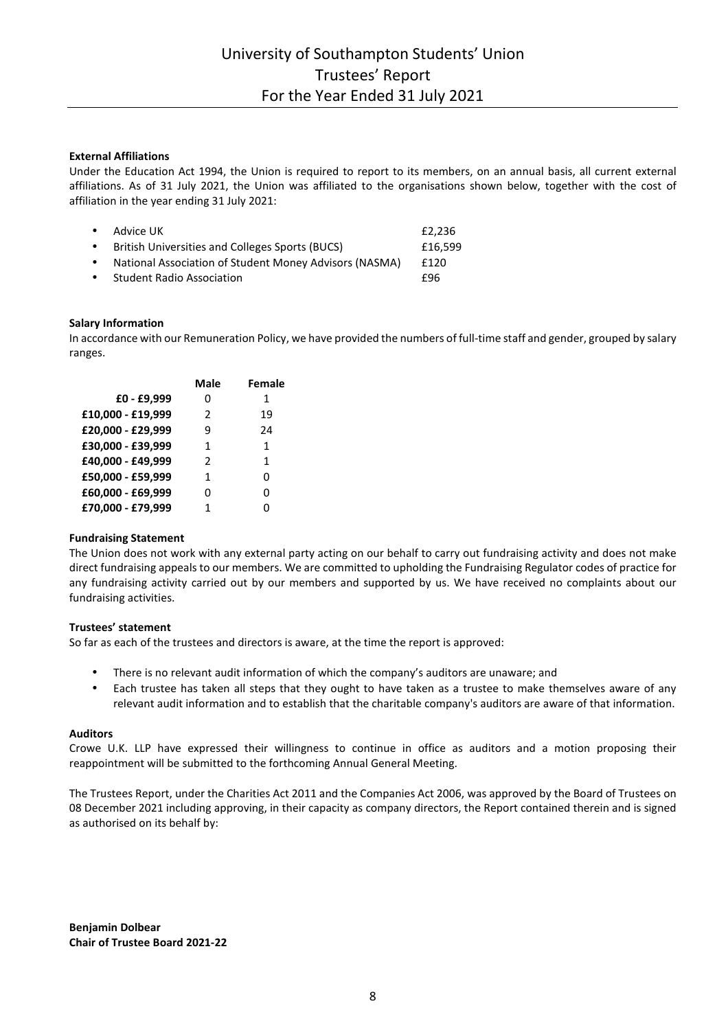## **External Affiliations**

Under the Education Act 1994, the Union is required to report to its members, on an annual basis, all current external affiliations. As of 31 July 2021, the Union was affiliated to the organisations shown below, together with the cost of affiliation in the year ending 31 July 2021:

|           | $\bullet$ Advice UK                                    | £2.236  |
|-----------|--------------------------------------------------------|---------|
| $\bullet$ | British Universities and Colleges Sports (BUCS)        | £16.599 |
| $\bullet$ | National Association of Student Money Advisors (NASMA) | £120    |
| $\bullet$ | <b>Student Radio Association</b>                       | f96     |
|           |                                                        |         |

### **Salary Information**

In accordance with our Remuneration Policy, we have provided the numbers of full-time staff and gender, grouped by salary ranges.

|                   | <b>Male</b>   | <b>Female</b> |
|-------------------|---------------|---------------|
| £0 - £9,999       | 0             | 1             |
| £10,000 - £19,999 | $\mathcal{P}$ | 19            |
| £20,000 - £29,999 | ٩             | 24            |
| £30,000 - £39,999 | 1             | 1             |
| £40,000 - £49,999 | $\mathcal{P}$ | 1             |
| £50,000 - £59,999 | 1             | 0             |
| £60,000 - £69,999 | 0             | 0             |
| £70.000 - £79.999 | 1             | ი             |

### **Fundraising Statement**

The Union does not work with any external party acting on our behalf to carry out fundraising activity and does not make direct fundraising appeals to our members. We are committed to upholding the Fundraising Regulator codes of practice for any fundraising activity carried out by our members and supported by us. We have received no complaints about our fundraising activities.

#### **Trustees' statement**

So far as each of the trustees and directors is aware, at the time the report is approved:

- There is no relevant audit information of which the company's auditors are unaware; and
- Each trustee has taken all steps that they ought to have taken as a trustee to make themselves aware of any relevant audit information and to establish that the charitable company's auditors are aware of that information.

### **Auditors**

Crowe U.K. LLP have expressed their willingness to continue in office as auditors and a motion proposing their reappointment will be submitted to the forthcoming Annual General Meeting.

The Trustees Report, under the Charities Act 2011 and the Companies Act 2006, was approved by the Board of Trustees on 08 December 2021 including approving, in their capacity as company directors, the Report contained therein and is signed as authorised on its behalf by:

**Benjamin Dolbear Chair of Trustee Board 2021-22**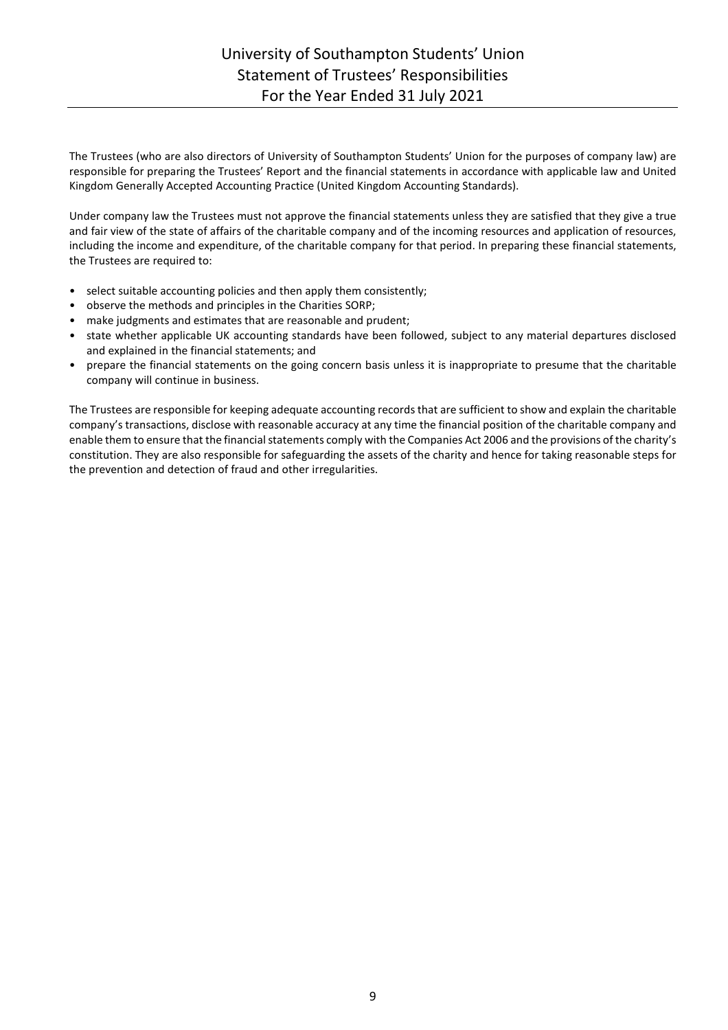# University of Southampton Students' Union Statement of Trustees' Responsibilities For the Year Ended 31 July 2021

The Trustees (who are also directors of University of Southampton Students' Union for the purposes of company law) are responsible for preparing the Trustees' Report and the financial statements in accordance with applicable law and United Kingdom Generally Accepted Accounting Practice (United Kingdom Accounting Standards).

Under company law the Trustees must not approve the financial statements unless they are satisfied that they give a true and fair view of the state of affairs of the charitable company and of the incoming resources and application of resources, including the income and expenditure, of the charitable company for that period. In preparing these financial statements, the Trustees are required to:

- select suitable accounting policies and then apply them consistently;
- observe the methods and principles in the Charities SORP;
- make judgments and estimates that are reasonable and prudent;
- state whether applicable UK accounting standards have been followed, subject to any material departures disclosed and explained in the financial statements; and
- prepare the financial statements on the going concern basis unless it is inappropriate to presume that the charitable company will continue in business.

The Trustees are responsible for keeping adequate accounting records that are sufficient to show and explain the charitable company's transactions, disclose with reasonable accuracy at any time the financial position of the charitable company and enable them to ensure that the financial statements comply with the Companies Act 2006 and the provisions of the charity's constitution. They are also responsible for safeguarding the assets of the charity and hence for taking reasonable steps for the prevention and detection of fraud and other irregularities.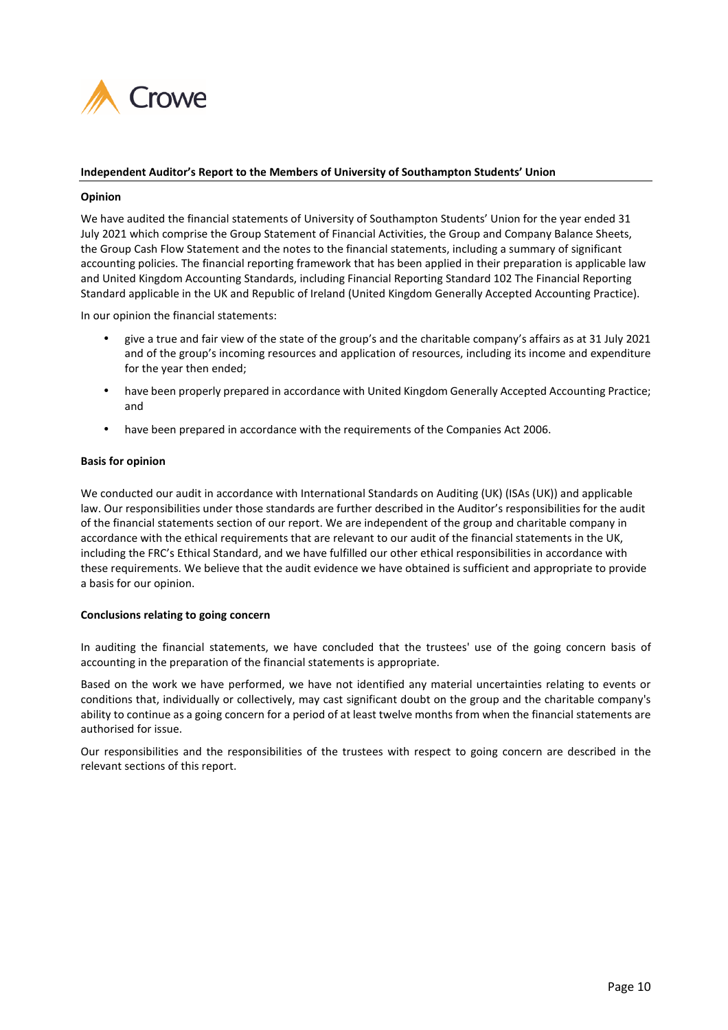

### **Independent Auditor's Report to the Members of University of Southampton Students' Union**

### **Opinion**

We have audited the financial statements of University of Southampton Students' Union for the year ended 31 July 2021 which comprise the Group Statement of Financial Activities, the Group and Company Balance Sheets, the Group Cash Flow Statement and the notes to the financial statements, including a summary of significant accounting policies. The financial reporting framework that has been applied in their preparation is applicable law and United Kingdom Accounting Standards, including Financial Reporting Standard 102 The Financial Reporting Standard applicable in the UK and Republic of Ireland (United Kingdom Generally Accepted Accounting Practice).

In our opinion the financial statements:

- give a true and fair view of the state of the group's and the charitable company's affairs as at 31 July 2021 and of the group's incoming resources and application of resources, including its income and expenditure for the year then ended;
- have been properly prepared in accordance with United Kingdom Generally Accepted Accounting Practice; and
- have been prepared in accordance with the requirements of the Companies Act 2006.

### **Basis for opinion**

We conducted our audit in accordance with International Standards on Auditing (UK) (ISAs (UK)) and applicable law. Our responsibilities under those standards are further described in the Auditor's responsibilities for the audit of the financial statements section of our report. We are independent of the group and charitable company in accordance with the ethical requirements that are relevant to our audit of the financial statements in the UK, including the FRC's Ethical Standard, and we have fulfilled our other ethical responsibilities in accordance with these requirements. We believe that the audit evidence we have obtained is sufficient and appropriate to provide a basis for our opinion.

#### **Conclusions relating to going concern**

In auditing the financial statements, we have concluded that the trustees' use of the going concern basis of accounting in the preparation of the financial statements is appropriate.

Based on the work we have performed, we have not identified any material uncertainties relating to events or conditions that, individually or collectively, may cast significant doubt on the group and the charitable company's ability to continue as a going concern for a period of at least twelve months from when the financial statements are authorised for issue.

Our responsibilities and the responsibilities of the trustees with respect to going concern are described in the relevant sections of this report.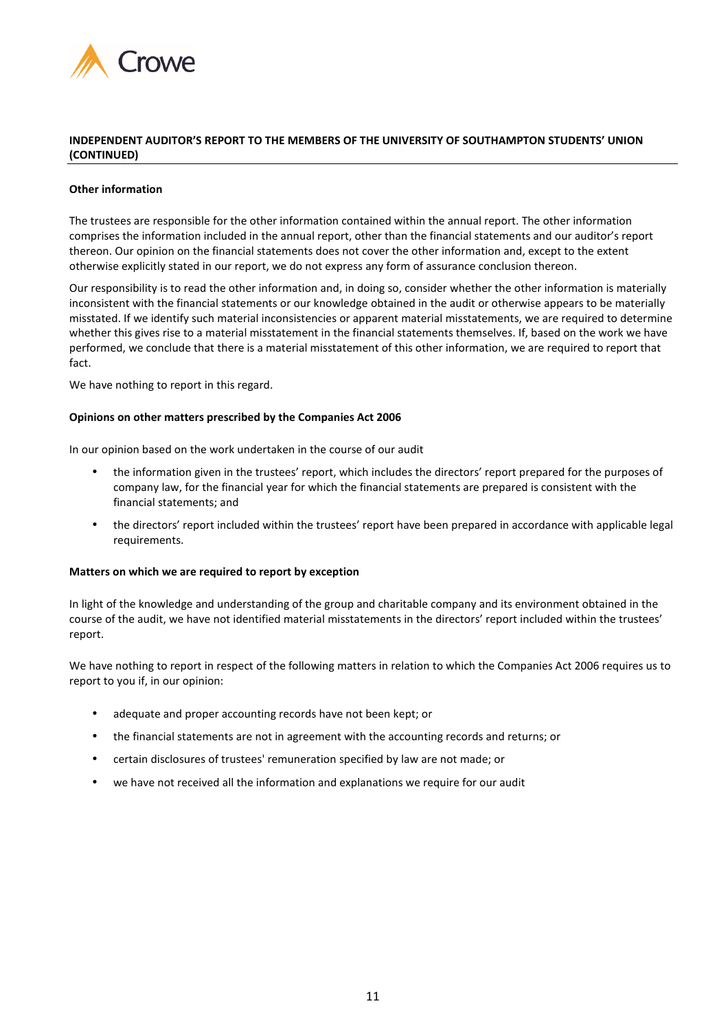

### **INDEPENDENT AUDITOR'S REPORT TO THE MEMBERS OF THE UNIVERSITY OF SOUTHAMPTON STUDENTS' UNION (CONTINUED)**

### **Other information**

The trustees are responsible for the other information contained within the annual report. The other information comprises the information included in the annual report, other than the financial statements and our auditor's report thereon. Our opinion on the financial statements does not cover the other information and, except to the extent otherwise explicitly stated in our report, we do not express any form of assurance conclusion thereon.

Our responsibility is to read the other information and, in doing so, consider whether the other information is materially inconsistent with the financial statements or our knowledge obtained in the audit or otherwise appears to be materially misstated. If we identify such material inconsistencies or apparent material misstatements, we are required to determine whether this gives rise to a material misstatement in the financial statements themselves. If, based on the work we have performed, we conclude that there is a material misstatement of this other information, we are required to report that fact.

We have nothing to report in this regard.

### **Opinions on other matters prescribed by the Companies Act 2006**

In our opinion based on the work undertaken in the course of our audit

- the information given in the trustees' report, which includes the directors' report prepared for the purposes of company law, for the financial year for which the financial statements are prepared is consistent with the financial statements; and
- the directors' report included within the trustees' report have been prepared in accordance with applicable legal requirements.

### **Matters on which we are required to report by exception**

In light of the knowledge and understanding of the group and charitable company and its environment obtained in the course of the audit, we have not identified material misstatements in the directors' report included within the trustees' report.

We have nothing to report in respect of the following matters in relation to which the Companies Act 2006 requires us to report to you if, in our opinion:

- adequate and proper accounting records have not been kept; or
- the financial statements are not in agreement with the accounting records and returns; or
- certain disclosures of trustees' remuneration specified by law are not made; or
- we have not received all the information and explanations we require for our audit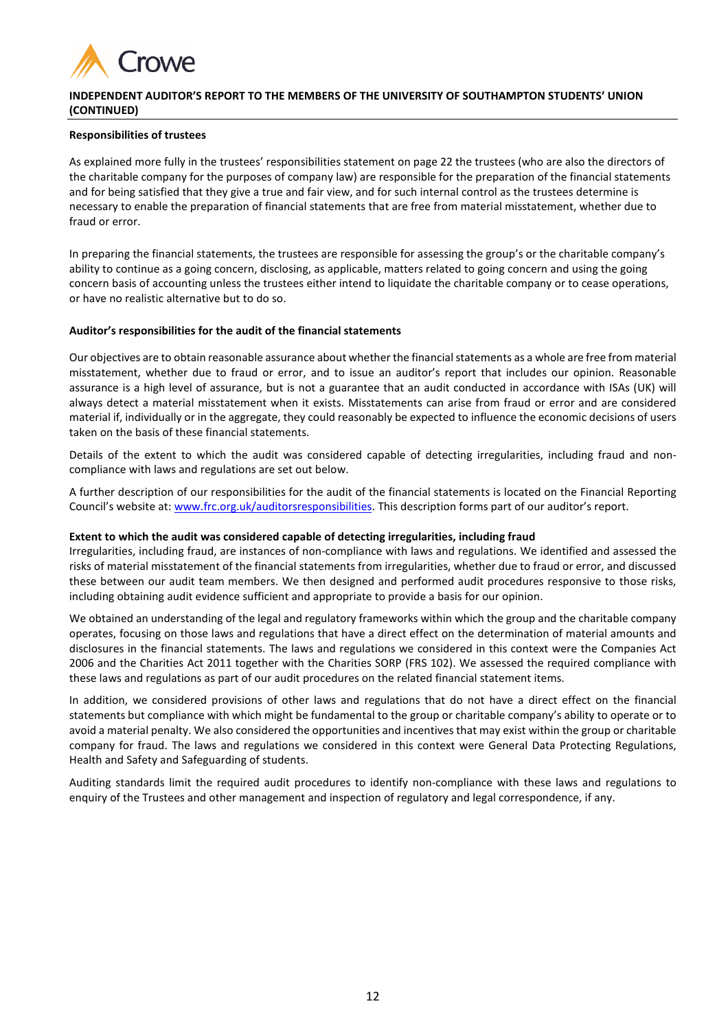

## **INDEPENDENT AUDITOR'S REPORT TO THE MEMBERS OF THE UNIVERSITY OF SOUTHAMPTON STUDENTS' UNION (CONTINUED)**

### **Responsibilities of trustees**

As explained more fully in the trustees' responsibilities statement on page 22 the trustees (who are also the directors of the charitable company for the purposes of company law) are responsible for the preparation of the financial statements and for being satisfied that they give a true and fair view, and for such internal control as the trustees determine is necessary to enable the preparation of financial statements that are free from material misstatement, whether due to fraud or error.

In preparing the financial statements, the trustees are responsible for assessing the group's or the charitable company's ability to continue as a going concern, disclosing, as applicable, matters related to going concern and using the going concern basis of accounting unless the trustees either intend to liquidate the charitable company or to cease operations, or have no realistic alternative but to do so.

### **Auditor's responsibilities for the audit of the financial statements**

Our objectives are to obtain reasonable assurance about whether the financial statements as a whole are free from material misstatement, whether due to fraud or error, and to issue an auditor's report that includes our opinion. Reasonable assurance is a high level of assurance, but is not a guarantee that an audit conducted in accordance with ISAs (UK) will always detect a material misstatement when it exists. Misstatements can arise from fraud or error and are considered material if, individually or in the aggregate, they could reasonably be expected to influence the economic decisions of users taken on the basis of these financial statements.

Details of the extent to which the audit was considered capable of detecting irregularities, including fraud and noncompliance with laws and regulations are set out below.

A further description of our responsibilities for the audit of the financial statements is located on the Financial Reporting Council's website at: www.frc.org.uk/auditorsresponsibilities. This description forms part of our auditor's report.

## **Extent to which the audit was considered capable of detecting irregularities, including fraud**

Irregularities, including fraud, are instances of non-compliance with laws and regulations. We identified and assessed the risks of material misstatement of the financial statements from irregularities, whether due to fraud or error, and discussed these between our audit team members. We then designed and performed audit procedures responsive to those risks, including obtaining audit evidence sufficient and appropriate to provide a basis for our opinion.

We obtained an understanding of the legal and regulatory frameworks within which the group and the charitable company operates, focusing on those laws and regulations that have a direct effect on the determination of material amounts and disclosures in the financial statements. The laws and regulations we considered in this context were the Companies Act 2006 and the Charities Act 2011 together with the Charities SORP (FRS 102). We assessed the required compliance with these laws and regulations as part of our audit procedures on the related financial statement items.

In addition, we considered provisions of other laws and regulations that do not have a direct effect on the financial statements but compliance with which might be fundamental to the group or charitable company's ability to operate or to avoid a material penalty. We also considered the opportunities and incentives that may exist within the group or charitable company for fraud. The laws and regulations we considered in this context were General Data Protecting Regulations, Health and Safety and Safeguarding of students.

Auditing standards limit the required audit procedures to identify non-compliance with these laws and regulations to enquiry of the Trustees and other management and inspection of regulatory and legal correspondence, if any.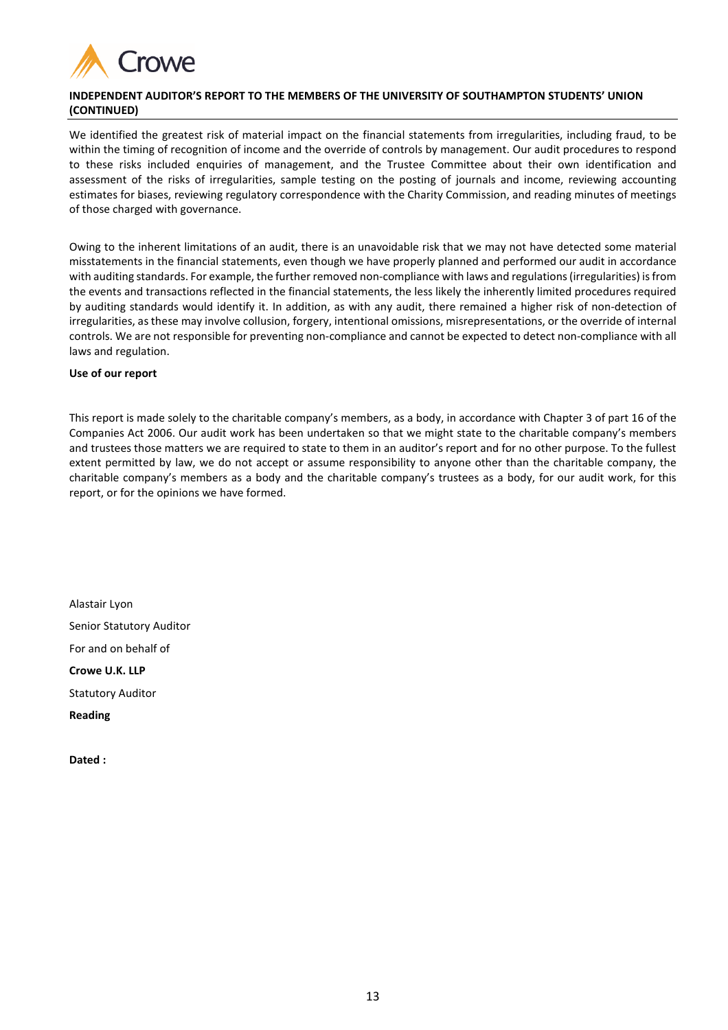

## **INDEPENDENT AUDITOR'S REPORT TO THE MEMBERS OF THE UNIVERSITY OF SOUTHAMPTON STUDENTS' UNION (CONTINUED)**

We identified the greatest risk of material impact on the financial statements from irregularities, including fraud, to be within the timing of recognition of income and the override of controls by management. Our audit procedures to respond to these risks included enquiries of management, and the Trustee Committee about their own identification and assessment of the risks of irregularities, sample testing on the posting of journals and income, reviewing accounting estimates for biases, reviewing regulatory correspondence with the Charity Commission, and reading minutes of meetings of those charged with governance.

Owing to the inherent limitations of an audit, there is an unavoidable risk that we may not have detected some material misstatements in the financial statements, even though we have properly planned and performed our audit in accordance with auditing standards. For example, the further removed non-compliance with laws and regulations (irregularities) is from the events and transactions reflected in the financial statements, the less likely the inherently limited procedures required by auditing standards would identify it. In addition, as with any audit, there remained a higher risk of non-detection of irregularities, as these may involve collusion, forgery, intentional omissions, misrepresentations, or the override of internal controls. We are not responsible for preventing non-compliance and cannot be expected to detect non-compliance with all laws and regulation.

### **Use of our report**

This report is made solely to the charitable company's members, as a body, in accordance with Chapter 3 of part 16 of the Companies Act 2006. Our audit work has been undertaken so that we might state to the charitable company's members and trustees those matters we are required to state to them in an auditor's report and for no other purpose. To the fullest extent permitted by law, we do not accept or assume responsibility to anyone other than the charitable company, the charitable company's members as a body and the charitable company's trustees as a body, for our audit work, for this report, or for the opinions we have formed.

Alastair Lyon Senior Statutory Auditor For and on behalf of **Crowe U.K. LLP**  Statutory Auditor **Reading** 

**Dated :**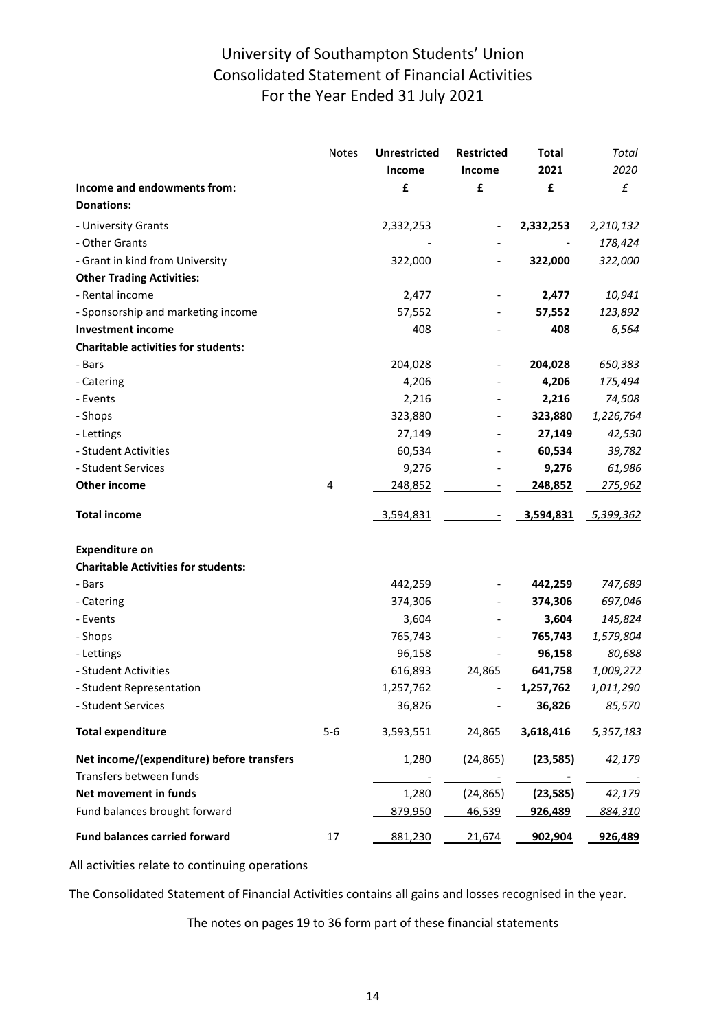# University of Southampton Students' Union Consolidated Statement of Financial Activities For the Year Ended 31 July 2021

|                                                  | <b>Notes</b> | <b>Unrestricted</b> | <b>Restricted</b> | <b>Total</b> | Total         |
|--------------------------------------------------|--------------|---------------------|-------------------|--------------|---------------|
|                                                  |              | Income              | Income            | 2021         | 2020          |
| Income and endowments from:<br><b>Donations:</b> |              | £                   | £                 | £            | £             |
|                                                  |              |                     |                   |              |               |
| - University Grants                              |              | 2,332,253           |                   | 2,332,253    | 2,210,132     |
| - Other Grants                                   |              |                     |                   |              | 178,424       |
| - Grant in kind from University                  |              | 322,000             |                   | 322,000      | 322,000       |
| <b>Other Trading Activities:</b>                 |              |                     |                   |              |               |
| - Rental income                                  |              | 2,477               |                   | 2,477        | 10,941        |
| - Sponsorship and marketing income               |              | 57,552              |                   | 57,552       | 123,892       |
| <b>Investment income</b>                         |              | 408                 |                   | 408          | 6,564         |
| <b>Charitable activities for students:</b>       |              |                     |                   |              |               |
| - Bars                                           |              | 204,028             |                   | 204,028      | 650,383       |
| - Catering                                       |              | 4,206               |                   | 4,206        | 175,494       |
| - Events                                         |              | 2,216               |                   | 2,216        | 74,508        |
| - Shops                                          |              | 323,880             |                   | 323,880      | 1,226,764     |
| - Lettings                                       |              | 27,149              |                   | 27,149       | 42,530        |
| - Student Activities                             |              | 60,534              |                   | 60,534       | 39,782        |
| - Student Services                               |              | 9,276               |                   | 9,276        | 61,986        |
| <b>Other income</b>                              | 4            | 248,852             |                   | 248,852      | 275,962       |
| <b>Total income</b>                              |              | 3,594,831           |                   | 3,594,831    | 5,399,362     |
| <b>Expenditure on</b>                            |              |                     |                   |              |               |
| <b>Charitable Activities for students:</b>       |              |                     |                   |              |               |
| - Bars                                           |              | 442,259             |                   | 442,259      | 747,689       |
| - Catering                                       |              | 374,306             |                   | 374,306      | 697,046       |
| - Events                                         |              | 3,604               |                   | 3,604        | 145,824       |
| - Shops                                          |              | 765,743             |                   | 765,743      | 1,579,804     |
| - Lettings                                       |              | 96,158              |                   | 96,158       | 80,688        |
| - Student Activities                             |              | 616,893             | 24,865            | 641,758      | 1,009,272     |
| - Student Representation                         |              | 1,257,762           |                   | 1,257,762    | 1,011,290     |
| - Student Services                               |              | 36,826              |                   | 36,826       | <u>85,570</u> |
|                                                  |              |                     |                   |              |               |
| <b>Total expenditure</b>                         | $5-6$        | 3,593,551           | 24,865            | 3,618,416    | 5,357,183     |
| Net income/(expenditure) before transfers        |              | 1,280               | (24, 865)         | (23, 585)    | 42,179        |
| Transfers between funds                          |              |                     |                   |              | $\sim$ $\sim$ |
| Net movement in funds                            |              | 1,280               | (24, 865)         | (23, 585)    | 42,179        |
| Fund balances brought forward                    |              | 879,950             | 46,539            | 926,489      | 884,310       |
| <b>Fund balances carried forward</b>             | 17           | 881,230             | 21,674            | 902,904      | 926,489       |

All activities relate to continuing operations

The Consolidated Statement of Financial Activities contains all gains and losses recognised in the year.

The notes on pages 19 to 36 form part of these financial statements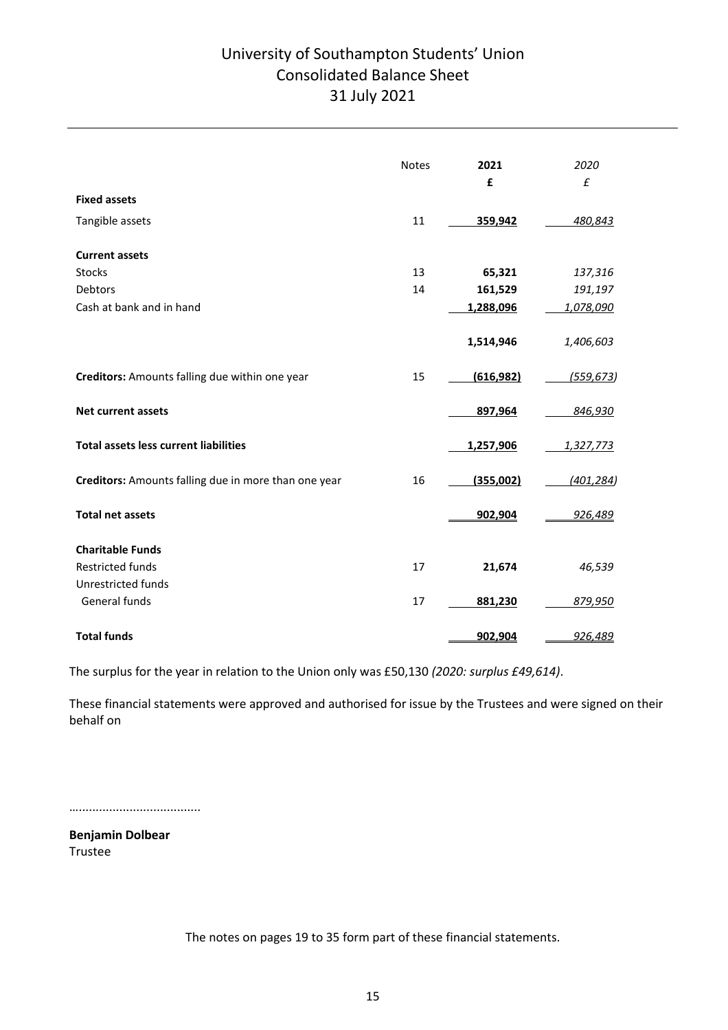# University of Southampton Students' Union Consolidated Balance Sheet 31 July 2021

|                                                      | <b>Notes</b> | 2021<br>£  | 2020<br>$\pmb{\mathit{f}}$ |
|------------------------------------------------------|--------------|------------|----------------------------|
| <b>Fixed assets</b>                                  |              |            |                            |
| Tangible assets                                      | 11           | 359,942    | 480,843                    |
| <b>Current assets</b>                                |              |            |                            |
| Stocks                                               | 13           | 65,321     | 137,316                    |
| Debtors                                              | 14           | 161,529    | 191,197                    |
| Cash at bank and in hand                             |              | 1,288,096  | 1,078,090                  |
|                                                      |              | 1,514,946  | 1,406,603                  |
| Creditors: Amounts falling due within one year       | 15           | (616, 982) | (559, 673)                 |
| <b>Net current assets</b>                            |              | 897,964    | 846,930                    |
| <b>Total assets less current liabilities</b>         |              | 1,257,906  | 1,327,773                  |
| Creditors: Amounts falling due in more than one year | 16           | (355,002)  | (401, 284)                 |
| <b>Total net assets</b>                              |              | 902,904    | 926,489                    |
| <b>Charitable Funds</b>                              |              |            |                            |
| <b>Restricted funds</b>                              | 17           | 21,674     | 46,539                     |
| <b>Unrestricted funds</b>                            |              |            |                            |
| General funds                                        | 17           | 881,230    | 879,950                    |
| <b>Total funds</b>                                   |              | 902,904    | 926,489                    |

The surplus for the year in relation to the Union only was £50,130 *(2020: surplus £49,614)*.

These financial statements were approved and authorised for issue by the Trustees and were signed on their behalf on

…....................................

**Benjamin Dolbear** Trustee

The notes on pages 19 to 35 form part of these financial statements.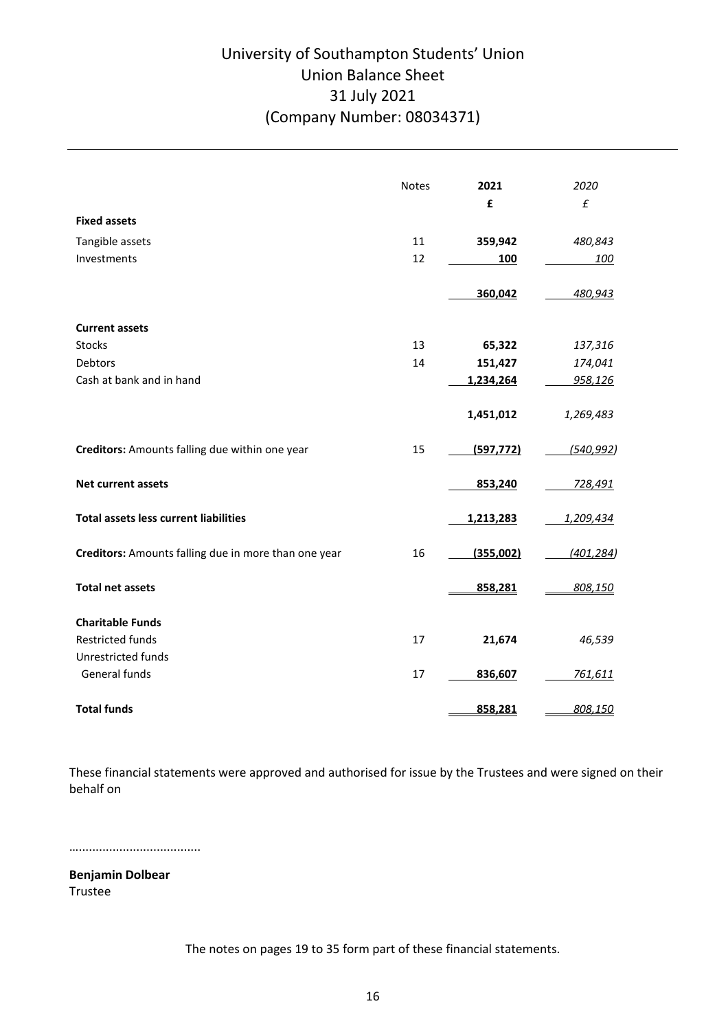# University of Southampton Students' Union Union Balance Sheet 31 July 2021 (Company Number: 08034371)

|                                                      | <b>Notes</b> | 2021       | 2020           |
|------------------------------------------------------|--------------|------------|----------------|
|                                                      |              | £          | £              |
| <b>Fixed assets</b>                                  |              |            |                |
| Tangible assets                                      | 11           | 359,942    | 480,843        |
| Investments                                          | 12           | 100        | 100            |
|                                                      |              | 360,042    | 480,943        |
| <b>Current assets</b>                                |              |            |                |
| <b>Stocks</b>                                        | 13           | 65,322     | 137,316        |
| Debtors                                              | 14           | 151,427    | 174,041        |
| Cash at bank and in hand                             |              | 1,234,264  | 958,126        |
|                                                      |              | 1,451,012  | 1,269,483      |
|                                                      |              |            |                |
| Creditors: Amounts falling due within one year       | 15           | (597, 772) | (540, 992)     |
| <b>Net current assets</b>                            |              | 853,240    | <u>728,491</u> |
| <b>Total assets less current liabilities</b>         |              | 1,213,283  | 1,209,434      |
| Creditors: Amounts falling due in more than one year | 16           | (355,002)  | (401, 284)     |
| <b>Total net assets</b>                              |              | 858,281    | 808,150        |
| <b>Charitable Funds</b>                              |              |            |                |
| <b>Restricted funds</b>                              | 17           | 21,674     | 46,539         |
| Unrestricted funds                                   |              |            |                |
| General funds                                        | 17           | 836,607    | <u>761,611</u> |
| <b>Total funds</b>                                   |              | 858,281    | 808,150        |

These financial statements were approved and authorised for issue by the Trustees and were signed on their behalf on

…....................................

**Benjamin Dolbear** Trustee

The notes on pages 19 to 35 form part of these financial statements.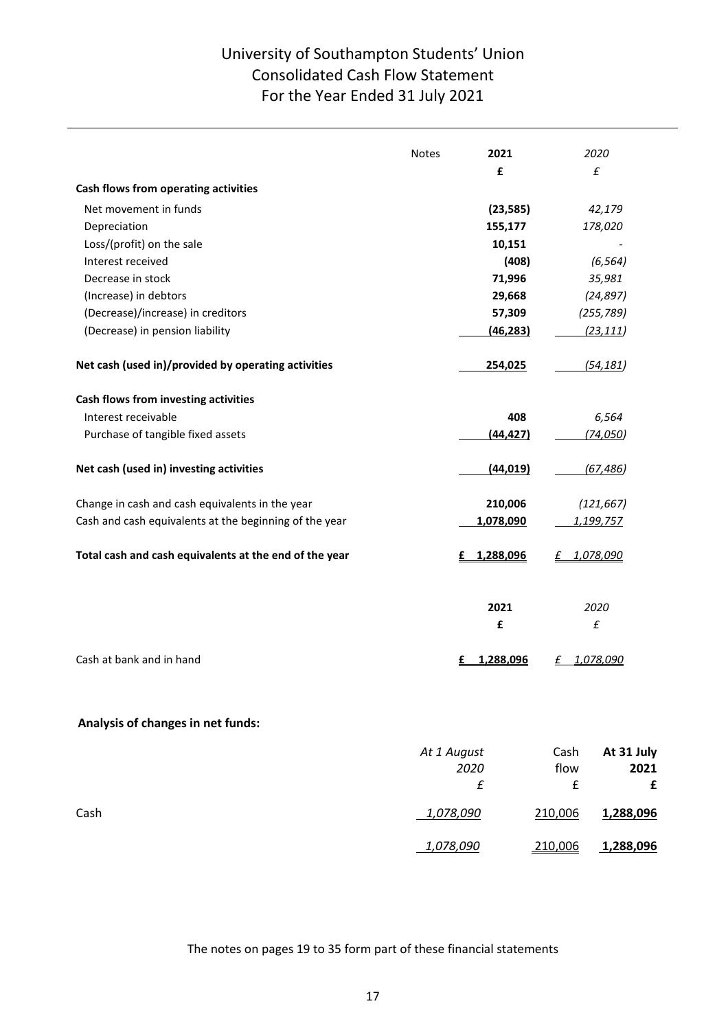# University of Southampton Students' Union Consolidated Cash Flow Statement For the Year Ended 31 July 2021

|                                                        | <b>Notes</b> | 2021           |         | 2020                       |
|--------------------------------------------------------|--------------|----------------|---------|----------------------------|
|                                                        |              | £              |         | £                          |
| Cash flows from operating activities                   |              |                |         |                            |
| Net movement in funds                                  |              | (23, 585)      |         | 42,179                     |
| Depreciation                                           |              | 155,177        |         | 178,020                    |
| Loss/(profit) on the sale                              |              | 10,151         |         |                            |
| Interest received                                      |              | (408)          |         | (6, 564)                   |
| Decrease in stock                                      |              | 71,996         |         | 35,981                     |
| (Increase) in debtors                                  |              | 29,668         |         | (24, 897)                  |
| (Decrease)/increase) in creditors                      |              | 57,309         |         | (255, 789)                 |
| (Decrease) in pension liability                        |              | (46, 283)      |         | (23, 111)                  |
| Net cash (used in)/provided by operating activities    |              | 254,025        |         | (54, 181)                  |
| Cash flows from investing activities                   |              |                |         |                            |
| Interest receivable                                    |              | 408            |         | 6,564                      |
| Purchase of tangible fixed assets                      |              | (44, 427)      |         | (74, 050)                  |
| Net cash (used in) investing activities                |              | (44, 019)      |         | (67, 486)                  |
| Change in cash and cash equivalents in the year        |              | 210,006        |         | (121, 667)                 |
| Cash and cash equivalents at the beginning of the year |              | 1,078,090      |         | 1,199,757                  |
| Total cash and cash equivalents at the end of the year |              | 1,288,096<br>£ | £       | 1,078,090                  |
|                                                        |              | 2021<br>£      |         | 2020<br>$\pmb{\mathit{f}}$ |
| Cash at bank and in hand                               |              | 1,288,096      |         | 1,078,090                  |
| Analysis of changes in net funds:                      |              |                |         |                            |
|                                                        | At 1 August  |                | Cash    | At 31 July                 |
|                                                        |              | 2020           | flow    | 2021                       |
|                                                        |              | £              | £       | £                          |
| Cash                                                   |              | 1,078,090      | 210,006 | 1,288,096                  |
|                                                        |              | 1,078,090      | 210,006 | 1,288,096                  |
|                                                        |              |                |         |                            |

The notes on pages 19 to 35 form part of these financial statements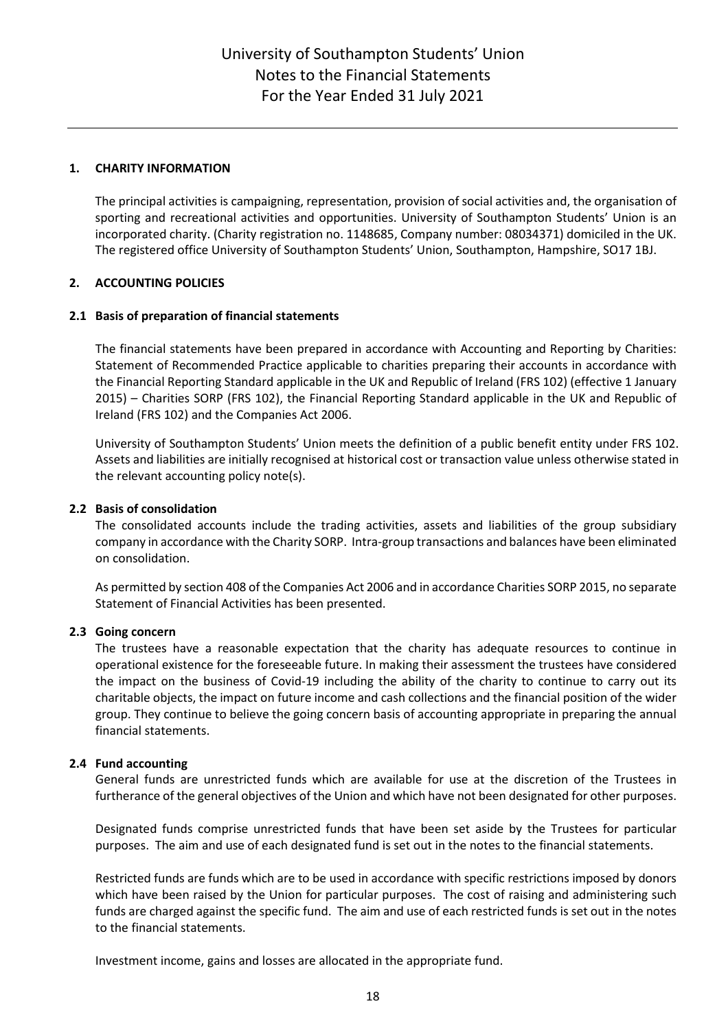## **1. CHARITY INFORMATION**

The principal activities is campaigning, representation, provision of social activities and, the organisation of sporting and recreational activities and opportunities. University of Southampton Students' Union is an incorporated charity. (Charity registration no. 1148685, Company number: 08034371) domiciled in the UK. The registered office University of Southampton Students' Union, Southampton, Hampshire, SO17 1BJ.

## **2. ACCOUNTING POLICIES**

## **2.1 Basis of preparation of financial statements**

The financial statements have been prepared in accordance with Accounting and Reporting by Charities: Statement of Recommended Practice applicable to charities preparing their accounts in accordance with the Financial Reporting Standard applicable in the UK and Republic of Ireland (FRS 102) (effective 1 January 2015) – Charities SORP (FRS 102), the Financial Reporting Standard applicable in the UK and Republic of Ireland (FRS 102) and the Companies Act 2006.

University of Southampton Students' Union meets the definition of a public benefit entity under FRS 102. Assets and liabilities are initially recognised at historical cost or transaction value unless otherwise stated in the relevant accounting policy note(s).

## **2.2 Basis of consolidation**

The consolidated accounts include the trading activities, assets and liabilities of the group subsidiary company in accordance with the Charity SORP. Intra-group transactions and balances have been eliminated on consolidation.

As permitted by section 408 of the Companies Act 2006 and in accordance Charities SORP 2015, no separate Statement of Financial Activities has been presented.

## **2.3 Going concern**

The trustees have a reasonable expectation that the charity has adequate resources to continue in operational existence for the foreseeable future. In making their assessment the trustees have considered the impact on the business of Covid-19 including the ability of the charity to continue to carry out its charitable objects, the impact on future income and cash collections and the financial position of the wider group. They continue to believe the going concern basis of accounting appropriate in preparing the annual financial statements.

## **2.4 Fund accounting**

General funds are unrestricted funds which are available for use at the discretion of the Trustees in furtherance of the general objectives of the Union and which have not been designated for other purposes.

Designated funds comprise unrestricted funds that have been set aside by the Trustees for particular purposes. The aim and use of each designated fund is set out in the notes to the financial statements.

Restricted funds are funds which are to be used in accordance with specific restrictions imposed by donors which have been raised by the Union for particular purposes. The cost of raising and administering such funds are charged against the specific fund. The aim and use of each restricted funds is set out in the notes to the financial statements.

Investment income, gains and losses are allocated in the appropriate fund.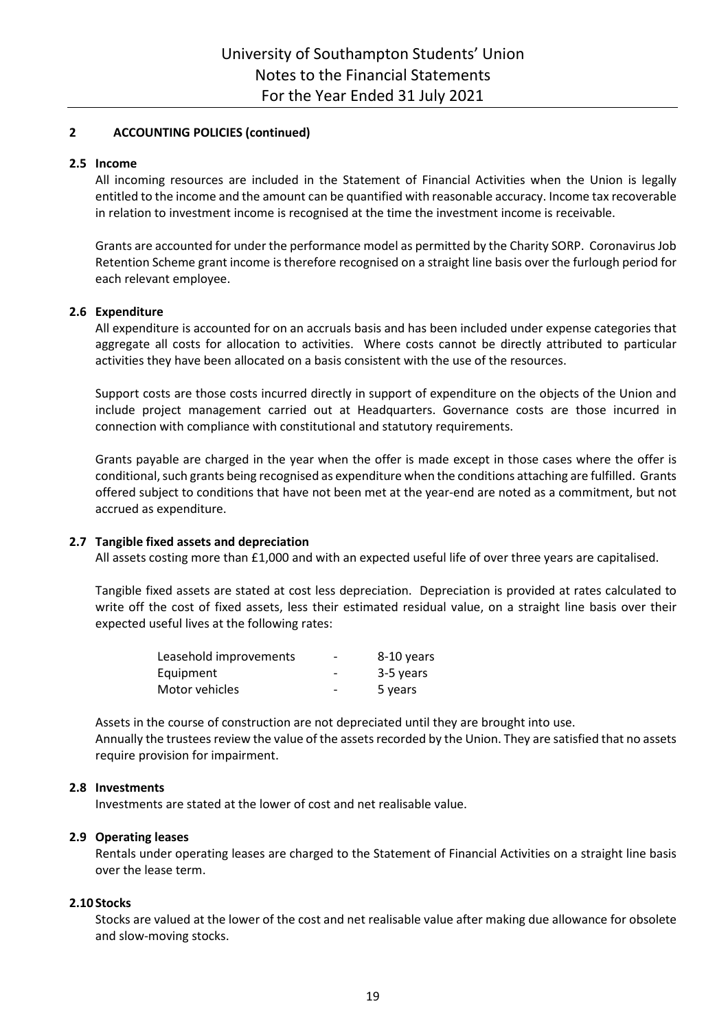## **2 ACCOUNTING POLICIES (continued)**

## **2.5 Income**

All incoming resources are included in the Statement of Financial Activities when the Union is legally entitled to the income and the amount can be quantified with reasonable accuracy. Income tax recoverable in relation to investment income is recognised at the time the investment income is receivable.

Grants are accounted for under the performance model as permitted by the Charity SORP. Coronavirus Job Retention Scheme grant income is therefore recognised on a straight line basis over the furlough period for each relevant employee.

## **2.6 Expenditure**

All expenditure is accounted for on an accruals basis and has been included under expense categories that aggregate all costs for allocation to activities. Where costs cannot be directly attributed to particular activities they have been allocated on a basis consistent with the use of the resources.

Support costs are those costs incurred directly in support of expenditure on the objects of the Union and include project management carried out at Headquarters. Governance costs are those incurred in connection with compliance with constitutional and statutory requirements.

Grants payable are charged in the year when the offer is made except in those cases where the offer is conditional, such grants being recognised as expenditure when the conditions attaching are fulfilled. Grants offered subject to conditions that have not been met at the year-end are noted as a commitment, but not accrued as expenditure.

## **2.7 Tangible fixed assets and depreciation**

All assets costing more than £1,000 and with an expected useful life of over three years are capitalised.

Tangible fixed assets are stated at cost less depreciation. Depreciation is provided at rates calculated to write off the cost of fixed assets, less their estimated residual value, on a straight line basis over their expected useful lives at the following rates:

| Leasehold improvements | $\overline{\phantom{0}}$ | 8-10 years |
|------------------------|--------------------------|------------|
| Equipment              | $\overline{\phantom{0}}$ | 3-5 years  |
| Motor vehicles         | $\overline{\phantom{0}}$ | 5 years    |

Assets in the course of construction are not depreciated until they are brought into use. Annually the trustees review the value of the assets recorded by the Union. They are satisfied that no assets require provision for impairment.

## **2.8 Investments**

Investments are stated at the lower of cost and net realisable value.

## **2.9 Operating leases**

Rentals under operating leases are charged to the Statement of Financial Activities on a straight line basis over the lease term.

### **2.10 Stocks**

Stocks are valued at the lower of the cost and net realisable value after making due allowance for obsolete and slow-moving stocks.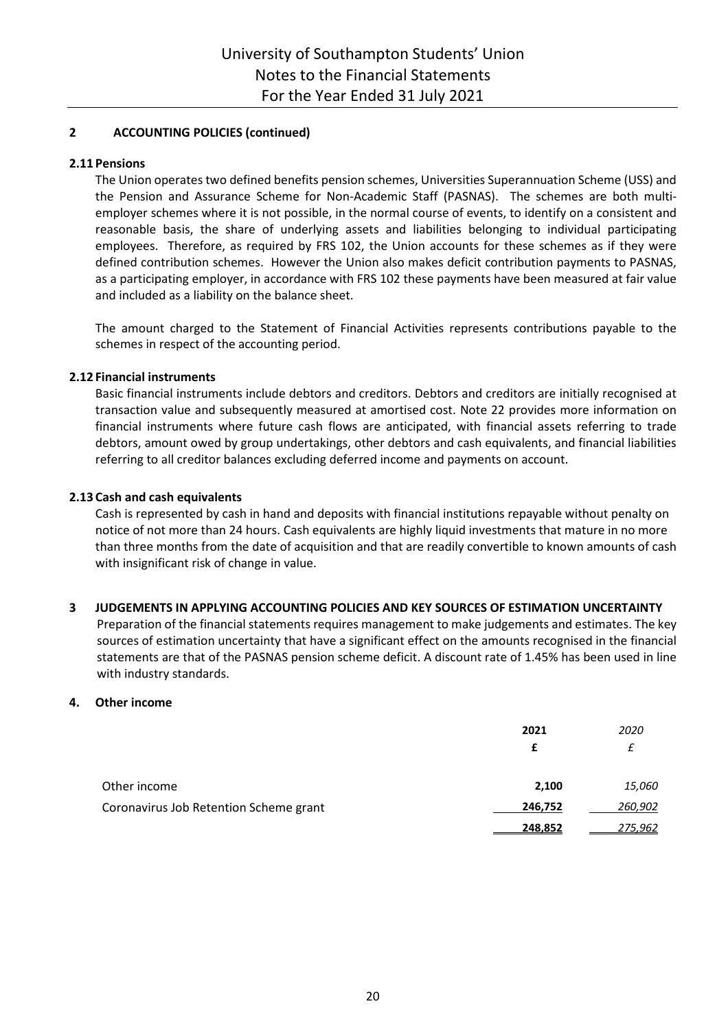## **2 ACCOUNTING POLICIES (continued)**

## **2.11 Pensions**

The Union operates two defined benefits pension schemes, Universities Superannuation Scheme (USS) and the Pension and Assurance Scheme for Non-Academic Staff (PASNAS). The schemes are both multiemployer schemes where it is not possible, in the normal course of events, to identify on a consistent and reasonable basis, the share of underlying assets and liabilities belonging to individual participating employees. Therefore, as required by FRS 102, the Union accounts for these schemes as if they were defined contribution schemes. However the Union also makes deficit contribution payments to PASNAS, as a participating employer, in accordance with FRS 102 these payments have been measured at fair value and included as a liability on the balance sheet.

The amount charged to the Statement of Financial Activities represents contributions payable to the schemes in respect of the accounting period.

## **2.12 Financial instruments**

Basic financial instruments include debtors and creditors. Debtors and creditors are initially recognised at transaction value and subsequently measured at amortised cost. Note 22 provides more information on financial instruments where future cash flows are anticipated, with financial assets referring to trade debtors, amount owed by group undertakings, other debtors and cash equivalents, and financial liabilities referring to all creditor balances excluding deferred income and payments on account.

## **2.13 Cash and cash equivalents**

Cash is represented by cash in hand and deposits with financial institutions repayable without penalty on notice of not more than 24 hours. Cash equivalents are highly liquid investments that mature in no more than three months from the date of acquisition and that are readily convertible to known amounts of cash with insignificant risk of change in value.

## **3 JUDGEMENTS IN APPLYING ACCOUNTING POLICIES AND KEY SOURCES OF ESTIMATION UNCERTAINTY**

Preparation of the financial statements requires management to make judgements and estimates. The key sources of estimation uncertainty that have a significant effect on the amounts recognised in the financial statements are that of the PASNAS pension scheme deficit. A discount rate of 1.45% has been used in line with industry standards.

### **4. Other income**

|                                        | 2021    | 2020    |
|----------------------------------------|---------|---------|
|                                        | £       |         |
| Other income                           | 2,100   | 15,060  |
| Coronavirus Job Retention Scheme grant | 246,752 | 260,902 |
|                                        | 248,852 | 275,962 |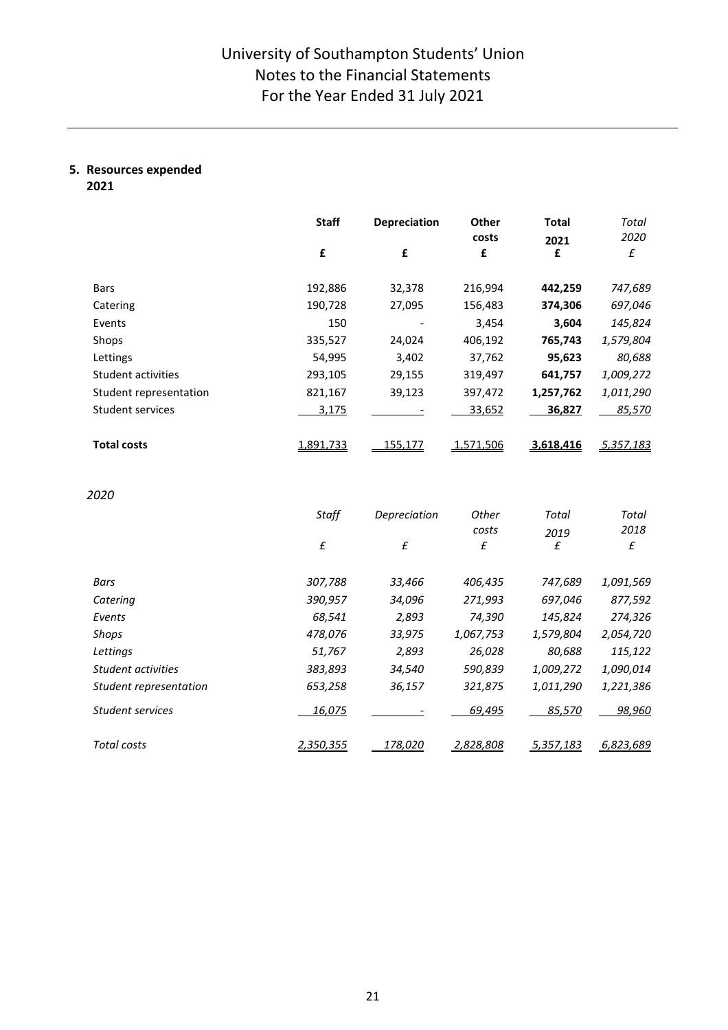# **5. Resources expended**

**2021**

|                        | <b>Staff</b> | <b>Depreciation</b> | Other<br>costs | <b>Total</b> | Total<br>2020 |
|------------------------|--------------|---------------------|----------------|--------------|---------------|
|                        | £            | £                   | £              | 2021<br>£    | £             |
| <b>Bars</b>            | 192,886      | 32,378              | 216,994        | 442,259      | 747,689       |
| Catering               | 190,728      | 27,095              | 156,483        | 374,306      | 697,046       |
| Events                 | 150          |                     | 3,454          | 3,604        | 145,824       |
| Shops                  | 335,527      | 24,024              | 406,192        | 765,743      | 1,579,804     |
| Lettings               | 54,995       | 3,402               | 37,762         | 95,623       | 80,688        |
| Student activities     | 293,105      | 29,155              | 319,497        | 641,757      | 1,009,272     |
| Student representation | 821,167      | 39,123              | 397,472        | 1,257,762    | 1,011,290     |
| Student services       | 3,175        |                     | 33,652         | 36,827       | 85,570        |
| <b>Total costs</b>     | 1,891,733    | 155,177             | 1,571,506      | 3,618,416    | 5,357,183     |

*2020* 

|                        | Staff<br>£ | Depreciation<br>£ | Other<br>costs<br>£ | Total<br>2019<br>£ | Total<br>2018<br>£ |
|------------------------|------------|-------------------|---------------------|--------------------|--------------------|
| Bars                   | 307,788    | 33,466            | 406,435             | 747,689            | 1,091,569          |
| Catering               | 390,957    | 34,096            | 271,993             | 697,046            | 877,592            |
| Events                 | 68,541     | 2,893             | 74,390              | 145,824            | 274,326            |
| Shops                  | 478,076    | 33,975            | 1,067,753           | 1,579,804          | 2,054,720          |
| Lettings               | 51,767     | 2,893             | 26,028              | 80,688             | 115,122            |
| Student activities     | 383,893    | 34,540            | 590,839             | 1,009,272          | 1,090,014          |
| Student representation | 653,258    | 36,157            | 321,875             | 1,011,290          | 1,221,386          |
| Student services       | 16,075     |                   | 69,495              | 85,570             | 98,960             |
| Total costs            | 2,350,355  | 178,020           | 2,828,808           | 5,357,183          | 6,823,689          |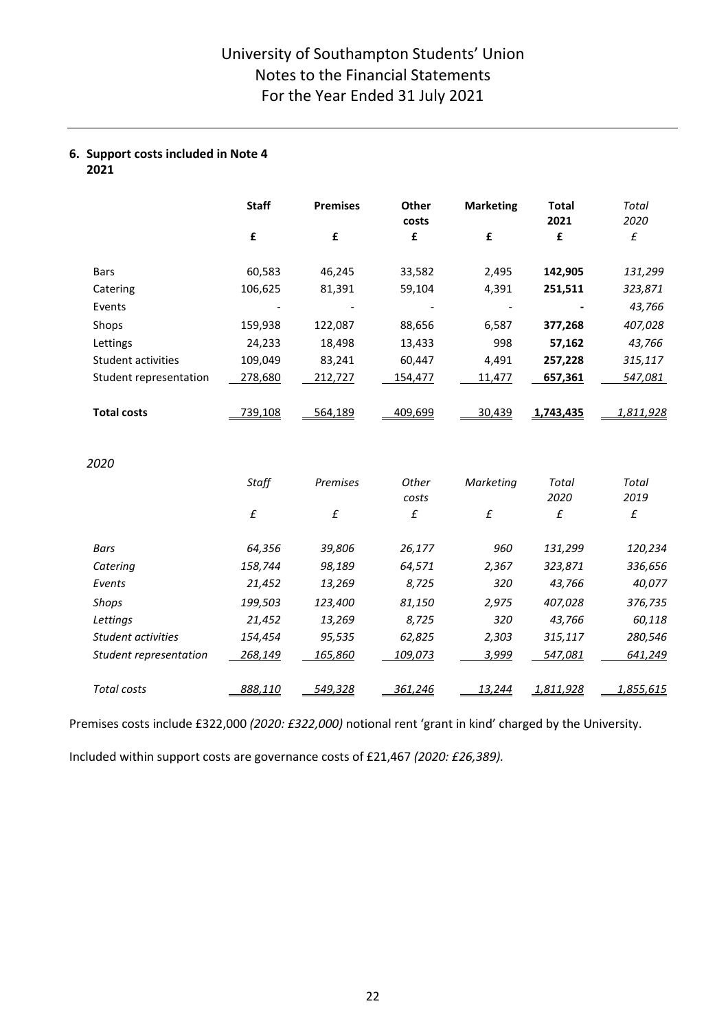## **6. Support costs included in Note 4 2021**

|                        | <b>Staff</b> | <b>Premises</b>    | Other<br>costs | <b>Marketing</b>   | <b>Total</b><br>2021 | Total<br>2020      |
|------------------------|--------------|--------------------|----------------|--------------------|----------------------|--------------------|
|                        | £            | £                  | £              | £                  | £                    | $\pmb{\mathit{f}}$ |
| <b>Bars</b>            | 60,583       | 46,245             | 33,582         | 2,495              | 142,905              | 131,299            |
| Catering               | 106,625      | 81,391             | 59,104         | 4,391              | 251,511              | 323,871            |
| Events                 |              |                    |                |                    |                      | 43,766             |
| Shops                  | 159,938      | 122,087            | 88,656         | 6,587              | 377,268              | 407,028            |
| Lettings               | 24,233       | 18,498             | 13,433         | 998                | 57,162               | 43,766             |
| Student activities     | 109,049      | 83,241             | 60,447         | 4,491              | 257,228              | 315,117            |
| Student representation | 278,680      | 212,727            | 154,477        | 11,477             | 657,361              | 547,081            |
| <b>Total costs</b>     | 739,108      | 564,189            | 409,699        | 30,439             | 1,743,435            | 1,811,928          |
| 2020                   |              |                    |                |                    |                      |                    |
|                        | Staff        | Premises           | Other<br>costs | Marketing          | Total<br>2020        | Total<br>2019      |
|                        | $\pounds$    | $\pmb{\mathit{f}}$ | £              | $\pmb{\mathit{f}}$ | £                    | $\pmb{\mathit{f}}$ |
| Bars                   | 64,356       | 39,806             | 26,177         | 960                | 131,299              | 120,234            |
| Catering               | 158,744      | 98,189             | 64,571         | 2,367              | 323,871              | 336,656            |
| Events                 | 21,452       | 13,269             | 8,725          | 320                | 43,766               | 40,077             |
| Shops                  | 199,503      | 123,400            | 81,150         | 2,975              | 407,028              | 376,735            |
| Lettings               | 21,452       | 13,269             | 8,725          | 320                | 43,766               | 60,118             |
| Student activities     | 154,454      | 95,535             | 62,825         | 2,303              | 315,117              | 280,546            |
| Student representation | 268,149      | 165,860            | 109,073        | 3,999              | 547,081              | 641,249            |
| <b>Total costs</b>     | 888,110      | 549,328            | 361,246        | 13,244             | 1,811,928            | 1,855,615          |

Premises costs include £322,000 *(2020: £322,000)* notional rent 'grant in kind' charged by the University.

Included within support costs are governance costs of £21,467 *(2020: £26,389).*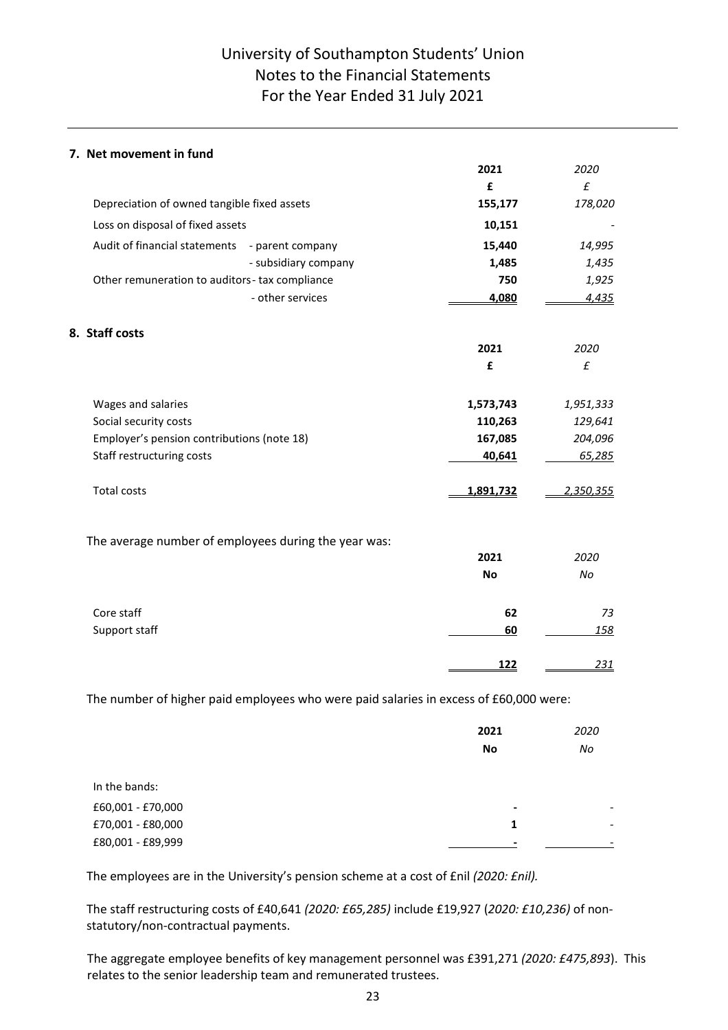# University of Southampton Students' Union Notes to the Financial Statements For the Year Ended 31 July 2021

## **7. Net movement in fund**

|                                                      | 2021       | 2020               |
|------------------------------------------------------|------------|--------------------|
|                                                      | £          | £                  |
| Depreciation of owned tangible fixed assets          | 155,177    | 178,020            |
| Loss on disposal of fixed assets                     | 10,151     |                    |
| Audit of financial statements<br>- parent company    | 15,440     | 14,995             |
| - subsidiary company                                 | 1,485      | 1,435              |
| Other remuneration to auditors-tax compliance        | 750        | 1,925              |
| - other services                                     | 4,080      | 4,435              |
| 8. Staff costs                                       |            |                    |
|                                                      | 2021       | 2020               |
|                                                      | £          | $\pmb{\mathit{f}}$ |
| Wages and salaries                                   | 1,573,743  | 1,951,333          |
| Social security costs                                | 110,263    | 129,641            |
| Employer's pension contributions (note 18)           | 167,085    | 204,096            |
| Staff restructuring costs                            | 40,641     | 65,285             |
| <b>Total costs</b>                                   | 1,891,732  | 2,350,355          |
| The average number of employees during the year was: |            |                    |
|                                                      | 2021       | 2020               |
|                                                      | <b>No</b>  | No                 |
| Core staff                                           | 62         | 73                 |
| Support staff                                        | 60         | 158                |
|                                                      | <u>122</u> | 231                |

The number of higher paid employees who were paid salaries in excess of £60,000 were:

|                                        | 2021           | 2020 |
|----------------------------------------|----------------|------|
|                                        | No             | No   |
|                                        |                |      |
| In the bands:                          |                |      |
| £60,001 - £70,000                      | $\blacksquare$ | -    |
| £70,001 - £80,000<br>£80,001 - £89,999 | 1              | -    |
|                                        | $\,$           | -    |

The employees are in the University's pension scheme at a cost of £nil *(2020: £nil).* 

The staff restructuring costs of £40,641 *(2020: £65,285)* include £19,927 (*2020: £10,236)* of nonstatutory/non-contractual payments.

The aggregate employee benefits of key management personnel was £391,271 *(2020: £475,893*). This relates to the senior leadership team and remunerated trustees.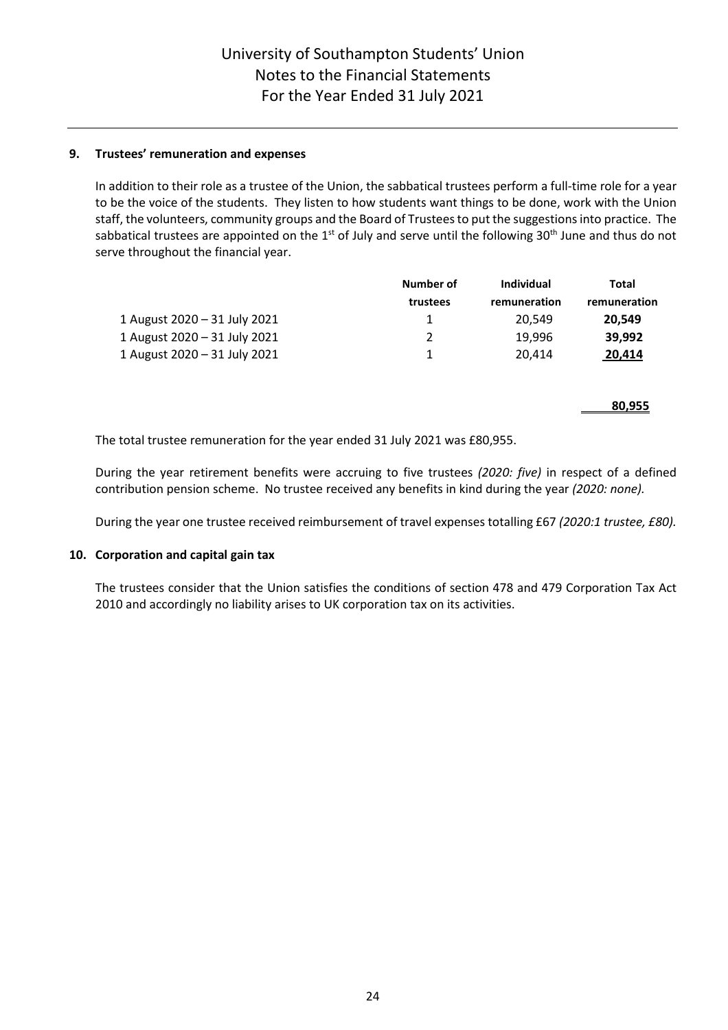## **9. Trustees' remuneration and expenses**

In addition to their role as a trustee of the Union, the sabbatical trustees perform a full-time role for a year to be the voice of the students. They listen to how students want things to be done, work with the Union staff, the volunteers, community groups and the Board of Trustees to put the suggestions into practice. The sabbatical trustees are appointed on the 1<sup>st</sup> of July and serve until the following 30<sup>th</sup> June and thus do not serve throughout the financial year.

|                              | Number of | Individual   | Total        |
|------------------------------|-----------|--------------|--------------|
|                              | trustees  | remuneration | remuneration |
| 1 August 2020 - 31 July 2021 |           | 20.549       | 20.549       |
| 1 August 2020 - 31 July 2021 |           | 19.996       | 39.992       |
| 1 August 2020 - 31 July 2021 |           | 20.414       | 20.414       |

**80,955**

The total trustee remuneration for the year ended 31 July 2021 was £80,955.

During the year retirement benefits were accruing to five trustees *(2020: five)* in respect of a defined contribution pension scheme. No trustee received any benefits in kind during the year *(2020: none).*

During the year one trustee received reimbursement of travel expenses totalling £67 *(2020:1 trustee, £80).* 

## **10. Corporation and capital gain tax**

The trustees consider that the Union satisfies the conditions of section 478 and 479 Corporation Tax Act 2010 and accordingly no liability arises to UK corporation tax on its activities.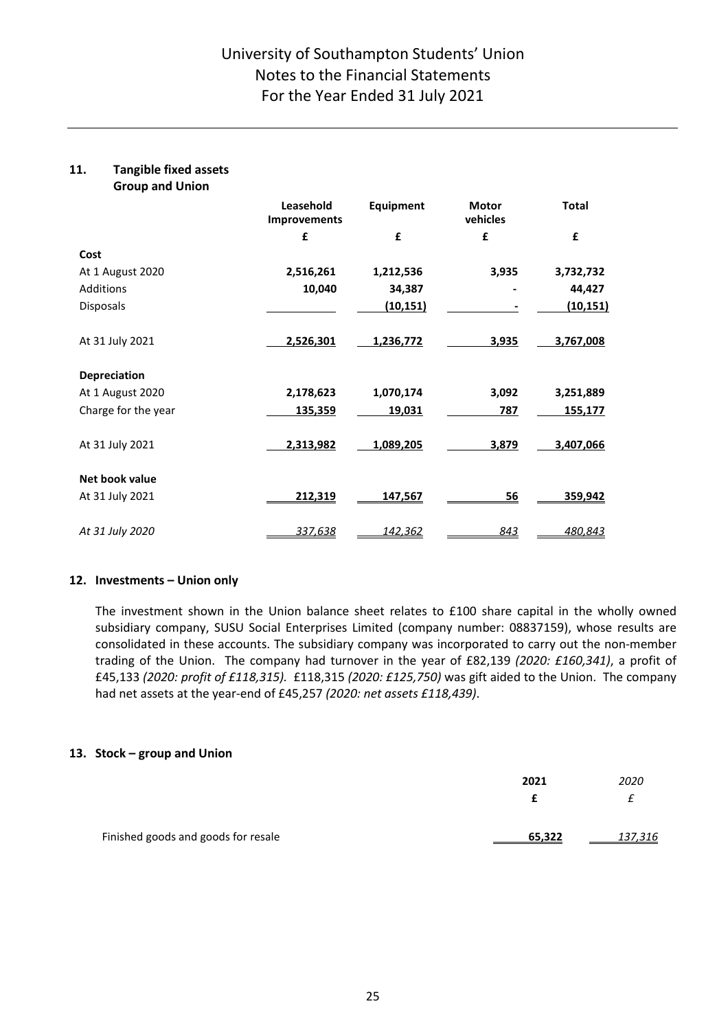### **11. Tangible fixed assets Group and Union**

| OLAND ALIA ALIIAIL  |                           |                  |                          |                |
|---------------------|---------------------------|------------------|--------------------------|----------------|
|                     | Leasehold<br>Improvements | <b>Equipment</b> | <b>Motor</b><br>vehicles | <b>Total</b>   |
|                     | £                         | £                | £                        | £              |
| Cost                |                           |                  |                          |                |
| At 1 August 2020    | 2,516,261                 | 1,212,536        | 3,935                    | 3,732,732      |
| Additions           | 10,040                    | 34,387           |                          | 44,427         |
| <b>Disposals</b>    |                           | (10, 151)        |                          | (10, 151)      |
| At 31 July 2021     | 2,526,301                 | 1,236,772        | 3,935                    | 3,767,008      |
| <b>Depreciation</b> |                           |                  |                          |                |
| At 1 August 2020    | 2,178,623                 | 1,070,174        | 3,092                    | 3,251,889      |
| Charge for the year | 135,359                   | 19,031           | 787                      | 155,177        |
| At 31 July 2021     | 2,313,982                 | 1,089,205        | 3,879                    | 3,407,066      |
| Net book value      |                           |                  |                          |                |
| At 31 July 2021     | 212,319                   | 147,567          | <u>56</u>                | <u>359,942</u> |
| At 31 July 2020     | 337,638                   | <u>142,362</u>   | 843                      | 480,843        |

## **12. Investments – Union only**

The investment shown in the Union balance sheet relates to £100 share capital in the wholly owned subsidiary company, SUSU Social Enterprises Limited (company number: 08837159), whose results are consolidated in these accounts. The subsidiary company was incorporated to carry out the non-member trading of the Union. The company had turnover in the year of £82,139 *(2020: £160,341)*, a profit of £45,133 *(2020: profit of £118,315).* £118,315 *(2020: £125,750)* was gift aided to the Union. The company had net assets at the year-end of £45,257 *(2020: net assets £118,439)*.

## **13. Stock – group and Union**

|                                     | 2021   | 2020            |
|-------------------------------------|--------|-----------------|
|                                     |        |                 |
|                                     |        |                 |
| Finished goods and goods for resale | 65,322 | <u> 137,316</u> |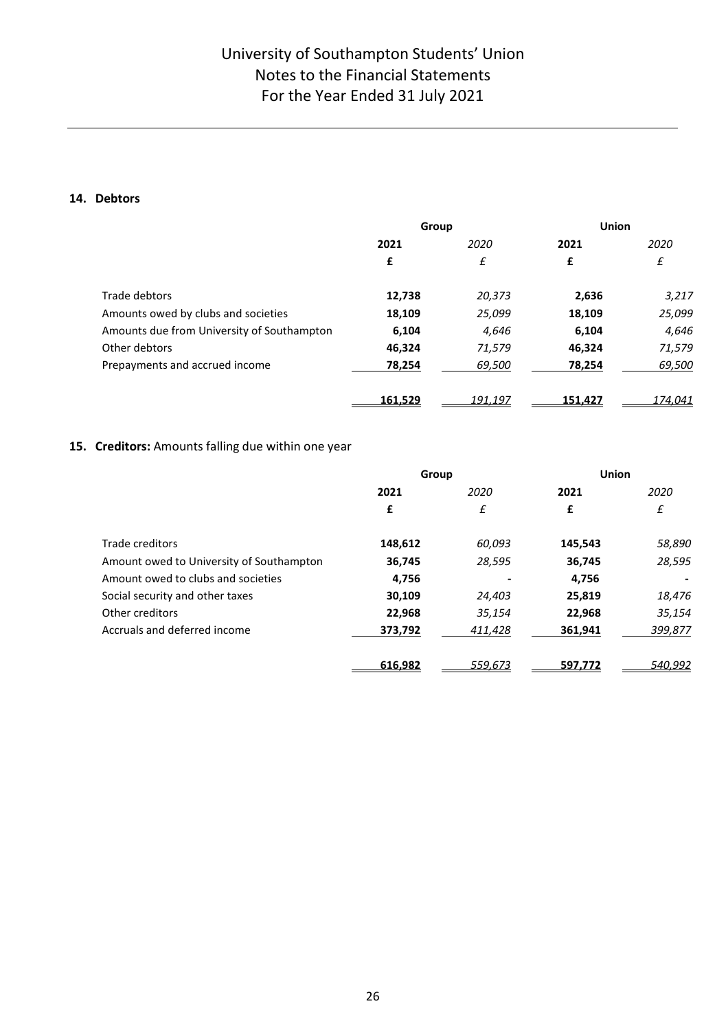# University of Southampton Students' Union Notes to the Financial Statements For the Year Ended 31 July 2021

## **14. Debtors**

|                                            |         | Group   |         | <b>Union</b> |
|--------------------------------------------|---------|---------|---------|--------------|
|                                            | 2021    | 2020    | 2021    | 2020         |
|                                            | £       | £       | £       | £            |
| Trade debtors                              | 12,738  | 20,373  | 2,636   | 3,217        |
| Amounts owed by clubs and societies        | 18,109  | 25,099  | 18,109  | 25,099       |
| Amounts due from University of Southampton | 6,104   | 4,646   | 6,104   | 4,646        |
| Other debtors                              | 46,324  | 71,579  | 46.324  | 71,579       |
| Prepayments and accrued income             | 78,254  | 69,500  | 78,254  | 69,500       |
|                                            | 161,529 | 191,197 | 151,427 | 174,041      |

## **15. Creditors:** Amounts falling due within one year

|                                          | Group   |         | Union   |         |
|------------------------------------------|---------|---------|---------|---------|
|                                          | 2021    | 2020    | 2021    | 2020    |
|                                          | £       | £       | £       | £       |
| Trade creditors                          | 148,612 | 60,093  | 145,543 | 58,890  |
| Amount owed to University of Southampton | 36,745  | 28,595  | 36,745  | 28,595  |
| Amount owed to clubs and societies       | 4,756   |         | 4,756   |         |
| Social security and other taxes          | 30,109  | 24,403  | 25,819  | 18,476  |
| Other creditors                          | 22,968  | 35,154  | 22,968  | 35,154  |
| Accruals and deferred income             | 373,792 | 411,428 | 361,941 | 399,877 |
|                                          | 616,982 | 559,673 | 597,772 | 540,992 |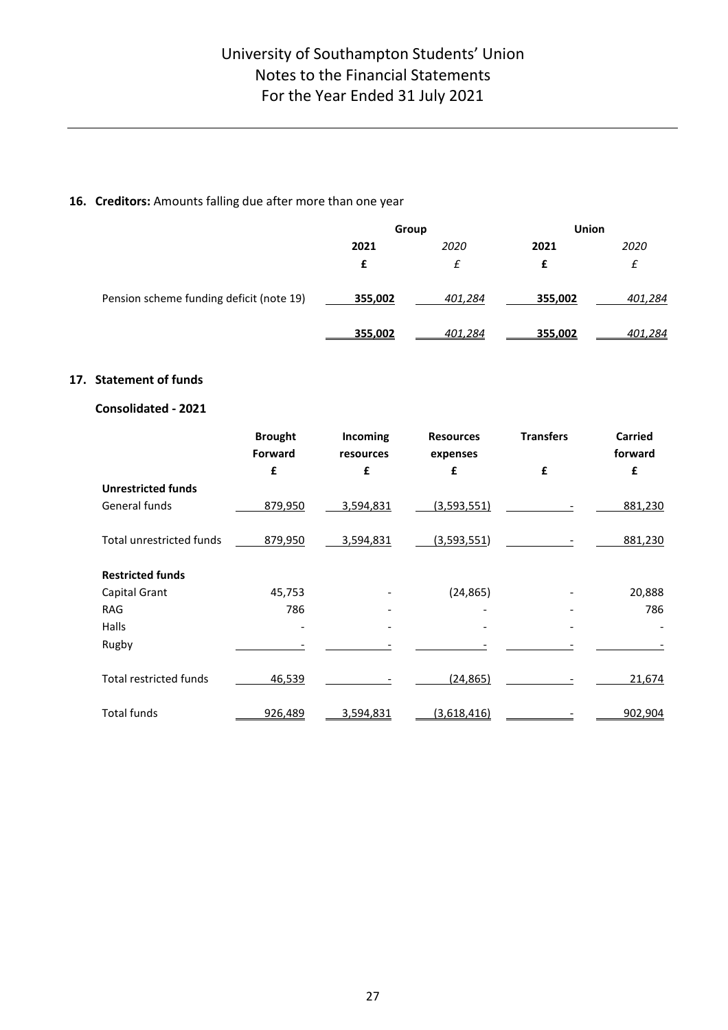## **16. Creditors:** Amounts falling due after more than one year

|                                          | Group   |         | <b>Union</b> |         |
|------------------------------------------|---------|---------|--------------|---------|
|                                          | 2021    | 2020    | 2021         | 2020    |
|                                          | £       | £       | £            | £       |
| Pension scheme funding deficit (note 19) | 355,002 | 401,284 | 355,002      | 401,284 |
|                                          | 355,002 | 401.284 | 355,002      | 401,284 |

## **17. Statement of funds**

## **Consolidated - 2021**

|                                 | <b>Brought</b><br>Forward | Incoming<br>resources | <b>Resources</b><br>expenses | <b>Transfers</b> | Carried<br>forward |
|---------------------------------|---------------------------|-----------------------|------------------------------|------------------|--------------------|
|                                 | £                         | £                     | £                            | £                | £                  |
| <b>Unrestricted funds</b>       |                           |                       |                              |                  |                    |
| General funds                   | 879,950                   | 3,594,831             | (3,593,551)                  |                  | 881,230            |
| <b>Total unrestricted funds</b> | 879,950                   | 3,594,831             | (3,593,551)                  |                  | 881,230            |
| <b>Restricted funds</b>         |                           |                       |                              |                  |                    |
| Capital Grant                   | 45,753                    |                       | (24, 865)                    |                  | 20,888             |
| <b>RAG</b>                      | 786                       |                       |                              |                  | 786                |
| Halls                           |                           |                       |                              |                  |                    |
| Rugby                           |                           |                       |                              |                  |                    |
| <b>Total restricted funds</b>   | 46,539                    |                       | (24, 865)                    |                  | 21,674             |
| <b>Total funds</b>              | 926,489                   | 3,594,831             | <u>(3,618,416)</u>           |                  | 902,904            |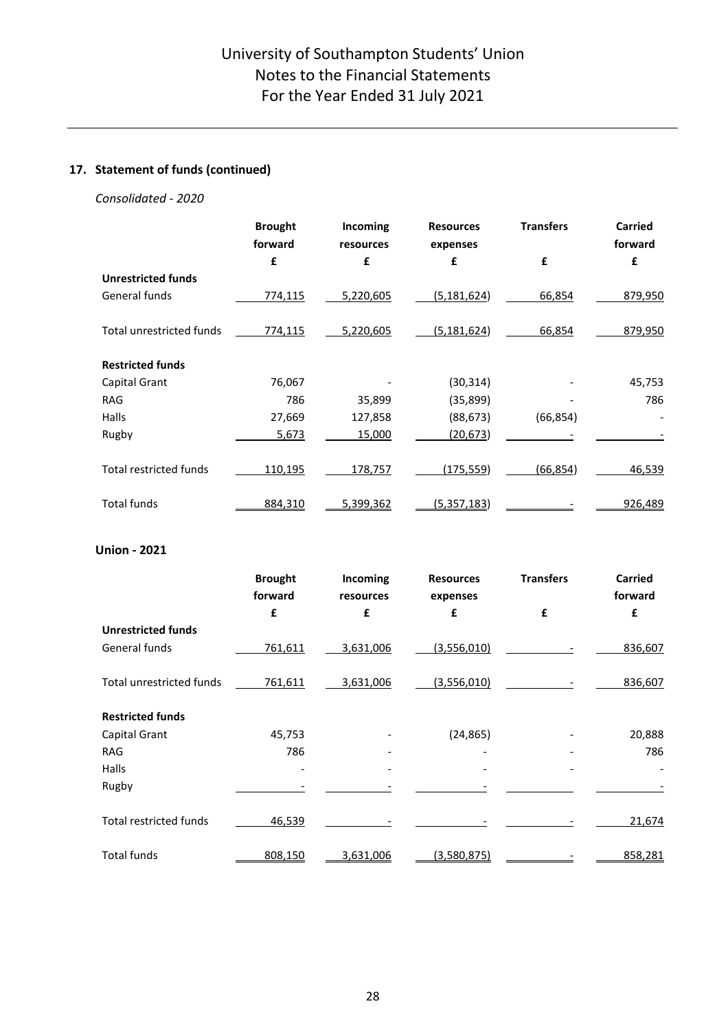## **17. Statement of funds (continued)**

## *Consolidated - 2020*

|                                 | <b>Brought</b><br>forward | Incoming<br>resources | <b>Resources</b><br>expenses | <b>Transfers</b> | <b>Carried</b><br>forward |
|---------------------------------|---------------------------|-----------------------|------------------------------|------------------|---------------------------|
|                                 | £                         | £                     | £                            | £                | £                         |
| <b>Unrestricted funds</b>       |                           |                       |                              |                  |                           |
| General funds                   | 774,115                   | 5,220,605             | (5, 181, 624)                | 66,854           | 879,950                   |
| <b>Total unrestricted funds</b> | 774,115                   | 5,220,605             | (5, 181, 624)                | 66,854           | 879,950                   |
| <b>Restricted funds</b>         |                           |                       |                              |                  |                           |
| Capital Grant                   | 76,067                    |                       | (30, 314)                    |                  | 45,753                    |
| <b>RAG</b>                      | 786                       | 35,899                | (35,899)                     |                  | 786                       |
| Halls                           | 27,669                    | 127,858               | (88, 673)                    | (66, 854)        |                           |
| Rugby                           | 5,673                     | 15,000                | (20, 673)                    |                  |                           |
| <b>Total restricted funds</b>   | 110,195                   | 178,757               | <u>(175,559)</u>             | (66, 854)        | 46,539                    |
| <b>Total funds</b>              | 884,310                   | 5,399,362             | (5, 357, 183)                |                  | 926,489                   |

## **Union - 2021**

|                                 | <b>Brought</b><br>forward | Incoming<br>resources | <b>Resources</b><br>expenses | <b>Transfers</b> | <b>Carried</b><br>forward |
|---------------------------------|---------------------------|-----------------------|------------------------------|------------------|---------------------------|
|                                 | £                         | £                     | £                            | £                | £                         |
| <b>Unrestricted funds</b>       |                           |                       |                              |                  |                           |
| General funds                   | 761,611                   | 3,631,006             | (3,556,010)                  |                  | 836,607                   |
| <b>Total unrestricted funds</b> | 761,611                   | 3,631,006             | (3,556,010)                  |                  | 836,607                   |
| <b>Restricted funds</b>         |                           |                       |                              |                  |                           |
| Capital Grant                   | 45,753                    |                       | (24, 865)                    |                  | 20,888                    |
| <b>RAG</b>                      | 786                       |                       |                              |                  | 786                       |
| Halls                           |                           |                       |                              |                  |                           |
| Rugby                           |                           |                       |                              |                  |                           |
| <b>Total restricted funds</b>   | 46,539                    |                       |                              |                  | 21,674                    |
| <b>Total funds</b>              | 808,150                   | 3,631,006             | (3,580,875)                  |                  | 858,281                   |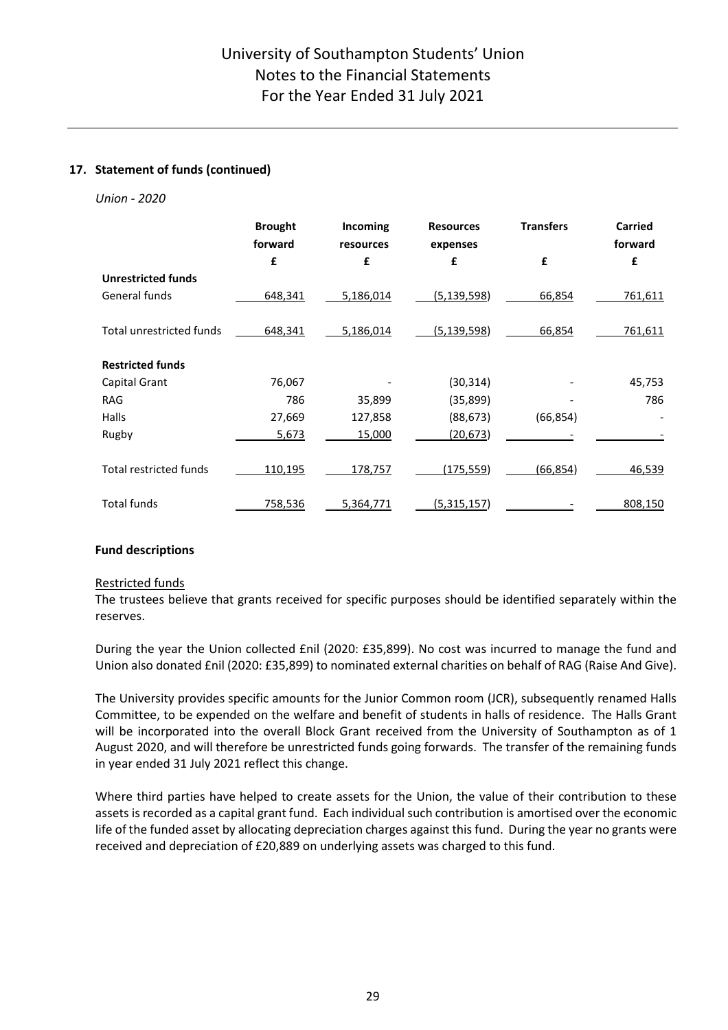## **17. Statement of funds (continued)**

## *Union - 2020*

|                                 | <b>Brought</b><br>forward | Incoming<br>resources | <b>Resources</b><br>expenses | <b>Transfers</b> | <b>Carried</b><br>forward |
|---------------------------------|---------------------------|-----------------------|------------------------------|------------------|---------------------------|
|                                 | £                         | £                     | £                            | £                | £                         |
| <b>Unrestricted funds</b>       |                           |                       |                              |                  |                           |
| General funds                   | 648,341                   | 5,186,014             | (5, 139, 598)                | 66,854           | 761,611                   |
|                                 |                           |                       |                              |                  |                           |
| <b>Total unrestricted funds</b> | 648,341                   | 5,186,014             | (5, 139, 598)                | 66,854           | 761,611                   |
| <b>Restricted funds</b>         |                           |                       |                              |                  |                           |
| Capital Grant                   | 76,067                    |                       | (30, 314)                    |                  | 45,753                    |
| <b>RAG</b>                      | 786                       | 35,899                | (35, 899)                    |                  | 786                       |
| Halls                           | 27,669                    | 127,858               | (88, 673)                    | (66, 854)        |                           |
| Rugby                           | 5,673                     | 15,000                | (20,673)                     |                  |                           |
| <b>Total restricted funds</b>   | <u>110,195</u>            | 178,757               | <u>(175,559)</u>             | (66, 854)        | 46,539                    |
| <b>Total funds</b>              | 758,536                   | 5,364,771             | (5,315,157)                  |                  | 808,150                   |

## **Fund descriptions**

## Restricted funds

The trustees believe that grants received for specific purposes should be identified separately within the reserves.

During the year the Union collected £nil (2020: £35,899). No cost was incurred to manage the fund and Union also donated £nil (2020: £35,899) to nominated external charities on behalf of RAG (Raise And Give).

The University provides specific amounts for the Junior Common room (JCR), subsequently renamed Halls Committee, to be expended on the welfare and benefit of students in halls of residence. The Halls Grant will be incorporated into the overall Block Grant received from the University of Southampton as of 1 August 2020, and will therefore be unrestricted funds going forwards. The transfer of the remaining funds in year ended 31 July 2021 reflect this change.

Where third parties have helped to create assets for the Union, the value of their contribution to these assets is recorded as a capital grant fund. Each individual such contribution is amortised over the economic life of the funded asset by allocating depreciation charges against this fund. During the year no grants were received and depreciation of £20,889 on underlying assets was charged to this fund.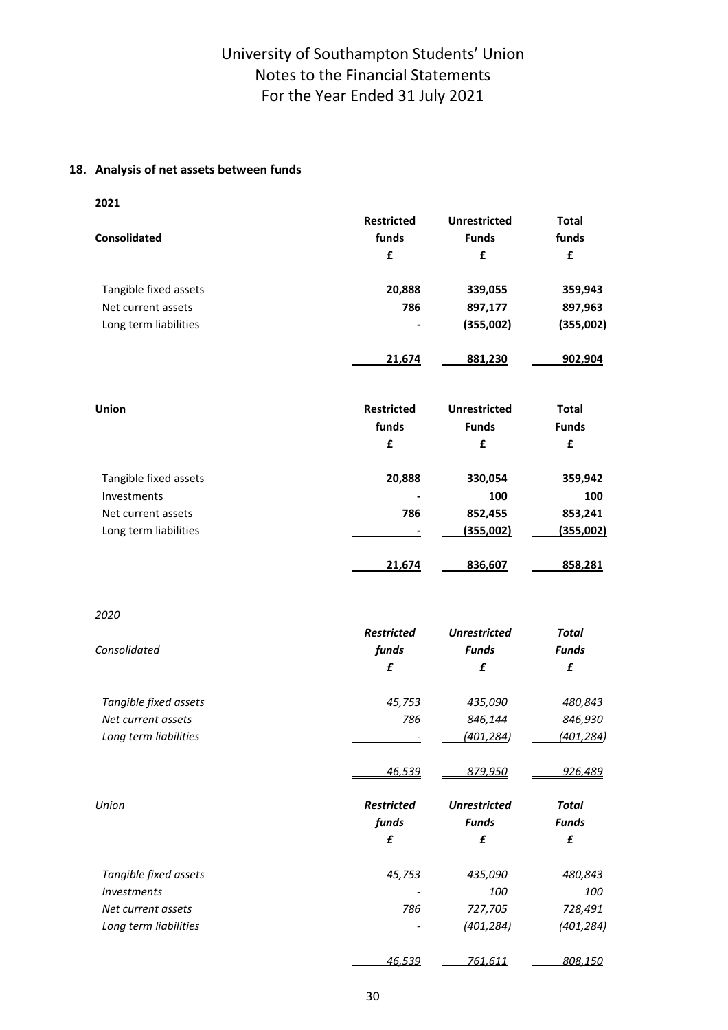## **18. Analysis of net assets between funds**

| 2021                  |                   |                     |                  |
|-----------------------|-------------------|---------------------|------------------|
|                       | <b>Restricted</b> | <b>Unrestricted</b> | <b>Total</b>     |
| <b>Consolidated</b>   | funds             | <b>Funds</b>        | funds            |
|                       | £                 | £                   | £                |
| Tangible fixed assets | 20,888            | 339,055             | 359,943          |
| Net current assets    | 786               | 897,177             | 897,963          |
| Long term liabilities |                   | <u>(355,002)</u>    | <u>(355,002)</u> |
|                       | 21,674            | 881,230             | 902,904          |
| <b>Union</b>          | <b>Restricted</b> | <b>Unrestricted</b> | <b>Total</b>     |
|                       | funds             | <b>Funds</b>        | <b>Funds</b>     |
|                       | £                 | £                   | £                |
| Tangible fixed assets | 20,888            | 330,054             | 359,942          |
| Investments           |                   | 100                 | 100              |
| Net current assets    | 786               | 852,455             | 853,241          |
| Long term liabilities |                   | (355,002)           | (355,002)        |
|                       | 21,674            | 836,607             | 858,281          |
| 2020                  |                   |                     |                  |
|                       | <b>Restricted</b> | <b>Unrestricted</b> | <b>Total</b>     |
| Consolidated          | funds             | <b>Funds</b>        | <b>Funds</b>     |
|                       | £                 | £                   | £                |
| Tangible fixed assets | 45,753            | 435,090             | 480,843          |
| Net current assets    | 786               | 846,144             | 846,930          |
| Long term liabilities |                   | (401, 284)          | (401, 284)       |
|                       | <u>46,539</u>     | <u>879,950</u>      | <u>926,489</u>   |
| Union                 | <b>Restricted</b> | <b>Unrestricted</b> | <b>Total</b>     |
|                       | funds             | <b>Funds</b>        | <b>Funds</b>     |
|                       | £                 | £                   | £                |
| Tangible fixed assets | 45,753            | 435,090             | 480,843          |
| <b>Investments</b>    |                   | 100                 | 100              |
| Net current assets    | 786               | 727,705             | 728,491          |
| Long term liabilities |                   | (401,284)           | (401,284)        |
|                       | 46,539            | 761,611             | 808,150          |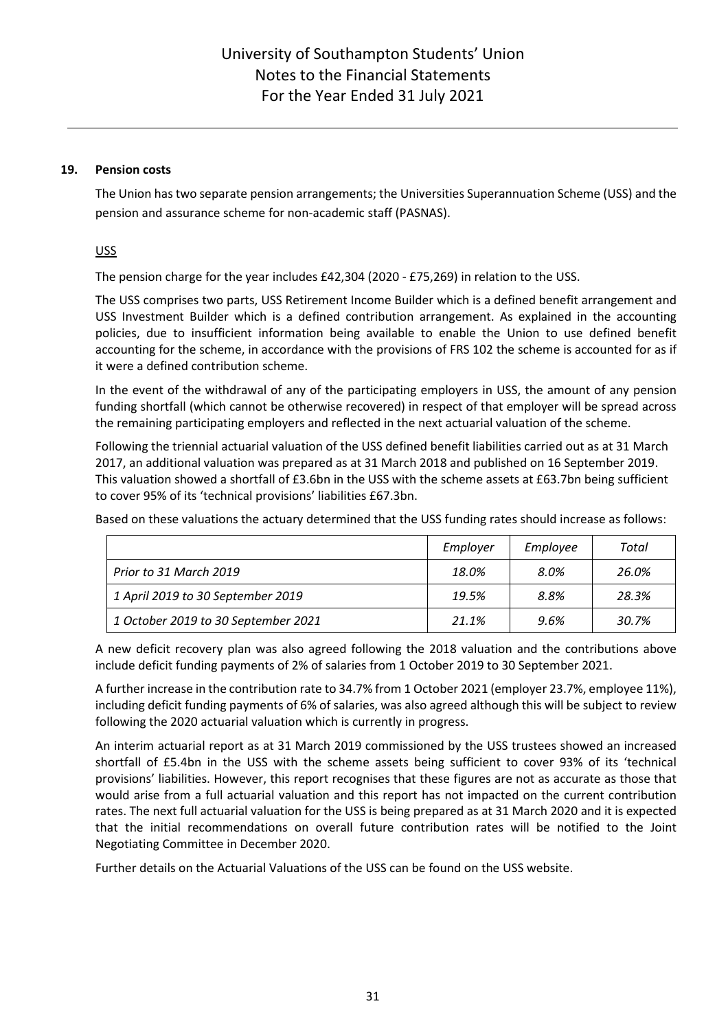## **19. Pension costs**

The Union has two separate pension arrangements; the Universities Superannuation Scheme (USS) and the pension and assurance scheme for non-academic staff (PASNAS).

USS

The pension charge for the year includes £42,304 (2020 - £75,269) in relation to the USS.

The USS comprises two parts, USS Retirement Income Builder which is a defined benefit arrangement and USS Investment Builder which is a defined contribution arrangement. As explained in the accounting policies, due to insufficient information being available to enable the Union to use defined benefit accounting for the scheme, in accordance with the provisions of FRS 102 the scheme is accounted for as if it were a defined contribution scheme.

In the event of the withdrawal of any of the participating employers in USS, the amount of any pension funding shortfall (which cannot be otherwise recovered) in respect of that employer will be spread across the remaining participating employers and reflected in the next actuarial valuation of the scheme.

Following the triennial actuarial valuation of the USS defined benefit liabilities carried out as at 31 March 2017, an additional valuation was prepared as at 31 March 2018 and published on 16 September 2019. This valuation showed a shortfall of £3.6bn in the USS with the scheme assets at £63.7bn being sufficient to cover 95% of its 'technical provisions' liabilities £67.3bn.

Based on these valuations the actuary determined that the USS funding rates should increase as follows:

|                                     | Employer | Employee | Total |
|-------------------------------------|----------|----------|-------|
| Prior to 31 March 2019              | 18.0%    | 8.0%     | 26.0% |
| 1 April 2019 to 30 September 2019   | 19.5%    | 8.8%     | 28.3% |
| 1 October 2019 to 30 September 2021 | 21.1%    | 9.6%     | 30.7% |

A new deficit recovery plan was also agreed following the 2018 valuation and the contributions above include deficit funding payments of 2% of salaries from 1 October 2019 to 30 September 2021.

A further increase in the contribution rate to 34.7% from 1 October 2021 (employer 23.7%, employee 11%), including deficit funding payments of 6% of salaries, was also agreed although this will be subject to review following the 2020 actuarial valuation which is currently in progress.

An interim actuarial report as at 31 March 2019 commissioned by the USS trustees showed an increased shortfall of £5.4bn in the USS with the scheme assets being sufficient to cover 93% of its 'technical provisions' liabilities. However, this report recognises that these figures are not as accurate as those that would arise from a full actuarial valuation and this report has not impacted on the current contribution rates. The next full actuarial valuation for the USS is being prepared as at 31 March 2020 and it is expected that the initial recommendations on overall future contribution rates will be notified to the Joint Negotiating Committee in December 2020.

Further details on the Actuarial Valuations of the USS can be found on the USS website.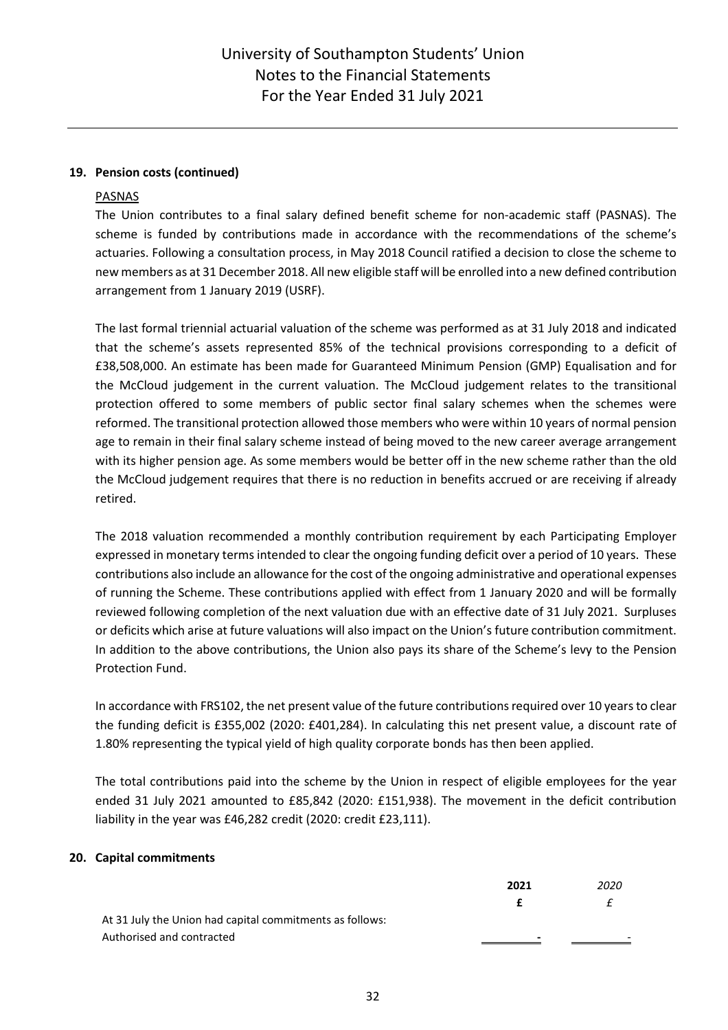## **19. Pension costs (continued)**

## PASNAS

The Union contributes to a final salary defined benefit scheme for non-academic staff (PASNAS). The scheme is funded by contributions made in accordance with the recommendations of the scheme's actuaries. Following a consultation process, in May 2018 Council ratified a decision to close the scheme to new members as at 31 December 2018. All new eligible staff will be enrolled into a new defined contribution arrangement from 1 January 2019 (USRF).

The last formal triennial actuarial valuation of the scheme was performed as at 31 July 2018 and indicated that the scheme's assets represented 85% of the technical provisions corresponding to a deficit of £38,508,000. An estimate has been made for Guaranteed Minimum Pension (GMP) Equalisation and for the McCloud judgement in the current valuation. The McCloud judgement relates to the transitional protection offered to some members of public sector final salary schemes when the schemes were reformed. The transitional protection allowed those members who were within 10 years of normal pension age to remain in their final salary scheme instead of being moved to the new career average arrangement with its higher pension age. As some members would be better off in the new scheme rather than the old the McCloud judgement requires that there is no reduction in benefits accrued or are receiving if already retired.

The 2018 valuation recommended a monthly contribution requirement by each Participating Employer expressed in monetary terms intended to clear the ongoing funding deficit over a period of 10 years. These contributions also include an allowance for the cost of the ongoing administrative and operational expenses of running the Scheme. These contributions applied with effect from 1 January 2020 and will be formally reviewed following completion of the next valuation due with an effective date of 31 July 2021. Surpluses or deficits which arise at future valuations will also impact on the Union's future contribution commitment. In addition to the above contributions, the Union also pays its share of the Scheme's levy to the Pension Protection Fund.

In accordance with FRS102, the net present value of the future contributions required over 10 years to clear the funding deficit is £355,002 (2020: £401,284). In calculating this net present value, a discount rate of 1.80% representing the typical yield of high quality corporate bonds has then been applied.

The total contributions paid into the scheme by the Union in respect of eligible employees for the year ended 31 July 2021 amounted to £85,842 (2020: £151,938). The movement in the deficit contribution liability in the year was £46,282 credit (2020: credit £23,111).

## **20. Capital commitments**

|                                                          | 2021 | 2020         |
|----------------------------------------------------------|------|--------------|
|                                                          |      | $\leftarrow$ |
| At 31 July the Union had capital commitments as follows: |      |              |
| Authorised and contracted                                | -    |              |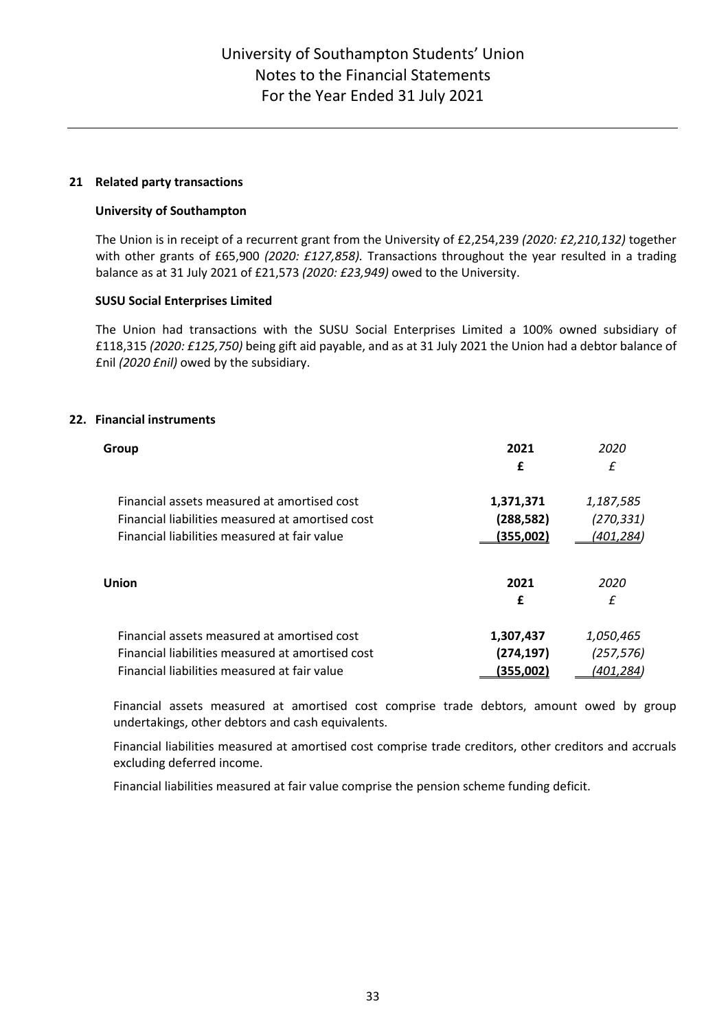## **21 Related party transactions**

## **University of Southampton**

The Union is in receipt of a recurrent grant from the University of £2,254,239 *(2020: £2,210,132)* together with other grants of £65,900 *(2020: £127,858).* Transactions throughout the year resulted in a trading balance as at 31 July 2021 of £21,573 *(2020: £23,949)* owed to the University.

## **SUSU Social Enterprises Limited**

The Union had transactions with the SUSU Social Enterprises Limited a 100% owned subsidiary of £118,315 *(2020: £125,750)* being gift aid payable, and as at 31 July 2021 the Union had a debtor balance of £nil *(2020 £nil)* owed by the subsidiary.

## **22. Financial instruments**

| Group                                            | 2021<br>£  | 2020<br>£        |
|--------------------------------------------------|------------|------------------|
| Financial assets measured at amortised cost      | 1,371,371  | 1,187,585        |
| Financial liabilities measured at amortised cost | (288, 582) | (270, 331)       |
| Financial liabilities measured at fair value     | (355,002)  | <u>(401,284)</u> |
| Union                                            | 2021<br>£  | 2020<br>£        |
| Financial assets measured at amortised cost      | 1,307,437  | 1,050,465        |
| Financial liabilities measured at amortised cost | (274, 197) | (257, 576)       |
| Financial liabilities measured at fair value     | (355,002)  | (401,284)        |

Financial assets measured at amortised cost comprise trade debtors, amount owed by group undertakings, other debtors and cash equivalents.

Financial liabilities measured at amortised cost comprise trade creditors, other creditors and accruals excluding deferred income.

Financial liabilities measured at fair value comprise the pension scheme funding deficit.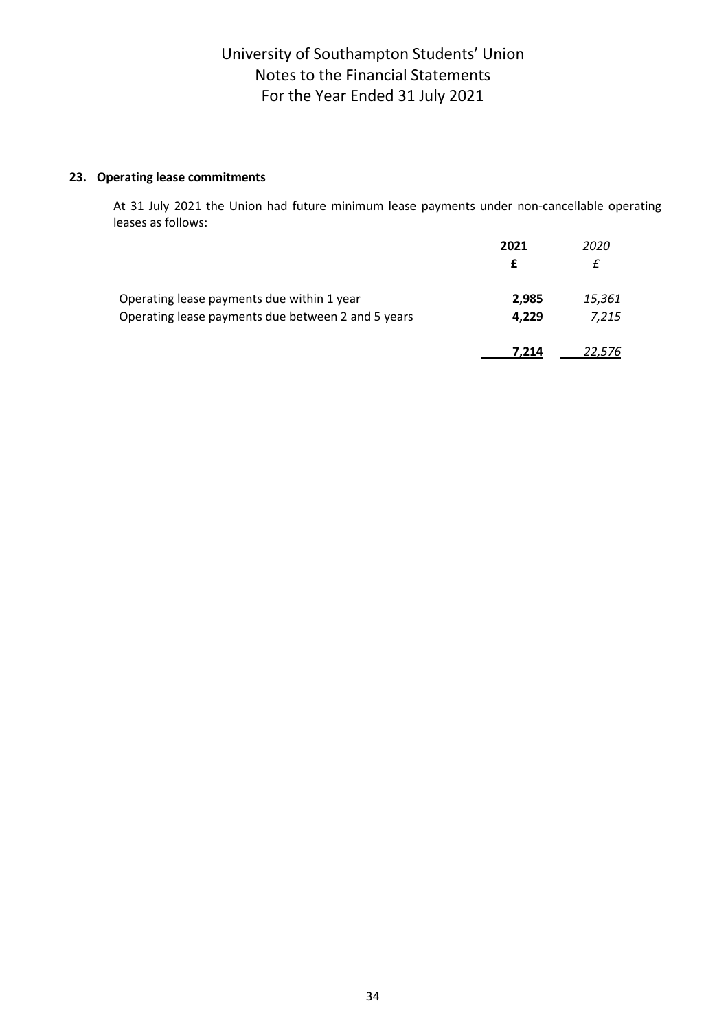## **23. Operating lease commitments**

At 31 July 2021 the Union had future minimum lease payments under non-cancellable operating leases as follows:

|                                                    | 2021  | 2020   |
|----------------------------------------------------|-------|--------|
|                                                    |       |        |
| Operating lease payments due within 1 year         | 2,985 | 15,361 |
| Operating lease payments due between 2 and 5 years | 4.229 | 7,215  |
|                                                    | 7.214 |        |